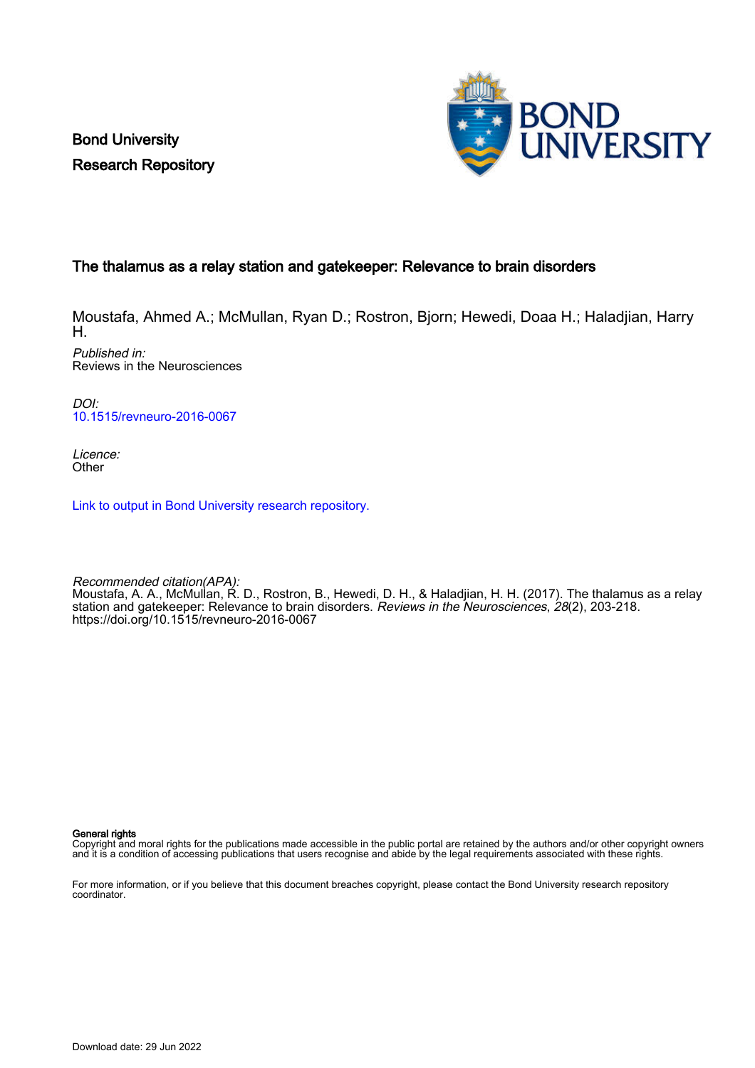Bond University Research Repository



### The thalamus as a relay station and gatekeeper: Relevance to brain disorders

Moustafa, Ahmed A.; McMullan, Ryan D.; Rostron, Bjorn; Hewedi, Doaa H.; Haladjian, Harry H. Published in: Reviews in the Neurosciences

DOI: [10.1515/revneuro-2016-0067](https://doi.org/10.1515/revneuro-2016-0067)

Licence: **Other** 

[Link to output in Bond University research repository.](https://research.bond.edu.au/en/publications/a798545d-0711-4aa2-afa6-8e274dcefbbe)

Recommended citation(APA): Moustafa, A. A., McMullan, R. D., Rostron, B., Hewedi, D. H., & Haladjian, H. H. (2017). The thalamus as a relay station and gatekeeper: Relevance to brain disorders. *Reviews in the Neurosciences, 28*(2), 203-218. <https://doi.org/10.1515/revneuro-2016-0067>

General rights

Copyright and moral rights for the publications made accessible in the public portal are retained by the authors and/or other copyright owners and it is a condition of accessing publications that users recognise and abide by the legal requirements associated with these rights.

For more information, or if you believe that this document breaches copyright, please contact the Bond University research repository coordinator.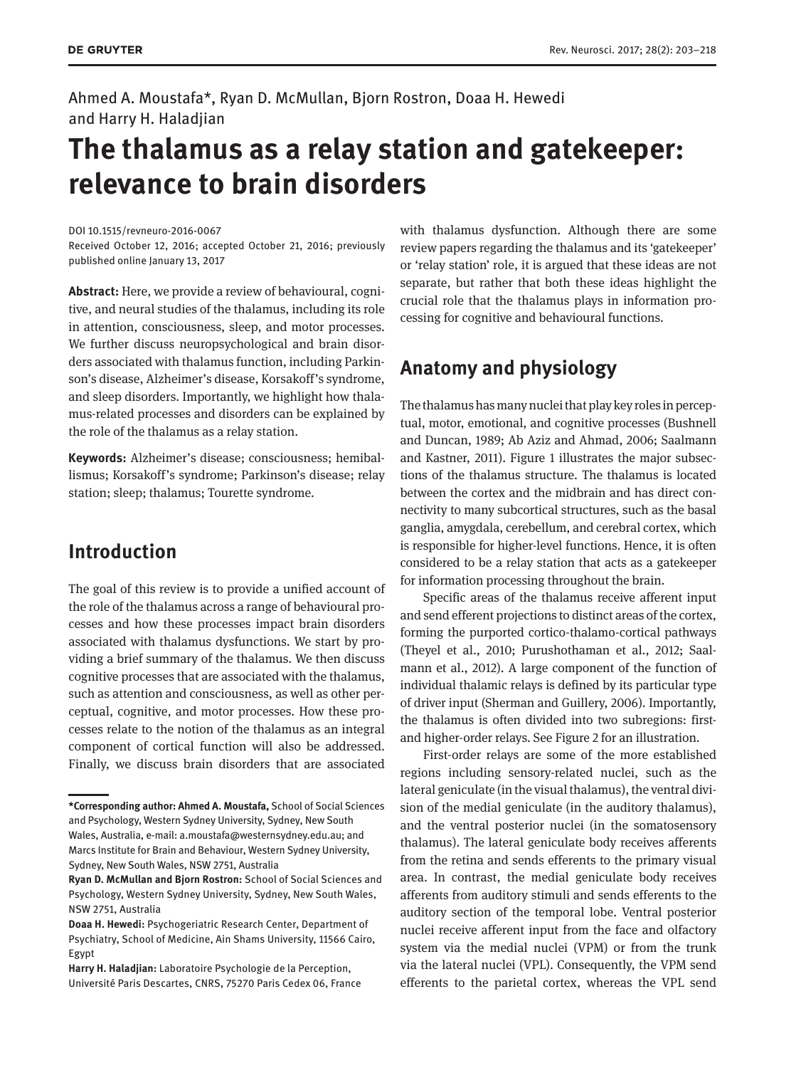Ahmed A. Moustafa\*, Ryan D. McMullan, Bjorn Rostron, Doaa H. Hewedi and Harry H. Haladjian

# **The thalamus as a relay station and gatekeeper: relevance to brain disorders**

DOI 10.1515/revneuro-2016-0067

Received October 12, 2016; accepted October 21, 2016; previously published online January 13, 2017

**Abstract:** Here, we provide a review of behavioural, cognitive, and neural studies of the thalamus, including its role in attention, consciousness, sleep, and motor processes. We further discuss neuropsychological and brain disorders associated with thalamus function, including Parkinson's disease, Alzheimer's disease, Korsakoff's syndrome, and sleep disorders. Importantly, we highlight how thalamus-related processes and disorders can be explained by the role of the thalamus as a relay station.

**Keywords:** Alzheimer's disease; consciousness; hemiballismus; Korsakoff's syndrome; Parkinson's disease; relay station; sleep; thalamus; Tourette syndrome.

# **Introduction**

The goal of this review is to provide a unified account of the role of the thalamus across a range of behavioural processes and how these processes impact brain disorders associated with thalamus dysfunctions. We start by providing a brief summary of the thalamus. We then discuss cognitive processes that are associated with the thalamus, such as attention and consciousness, as well as other perceptual, cognitive, and motor processes. How these processes relate to the notion of the thalamus as an integral component of cortical function will also be addressed. Finally, we discuss brain disorders that are associated

with thalamus dysfunction. Although there are some review papers regarding the thalamus and its 'gatekeeper' or 'relay station' role, it is argued that these ideas are not separate, but rather that both these ideas highlight the crucial role that the thalamus plays in information processing for cognitive and behavioural functions.

# **Anatomy and physiology**

The thalamus has many nuclei that play key roles in perceptual, motor, emotional, and cognitive processes (Bushnell and Duncan, 1989; Ab Aziz and Ahmad, 2006; Saalmann and Kastner, 2011). Figure 1 illustrates the major subsections of the thalamus structure. The thalamus is located between the cortex and the midbrain and has direct connectivity to many subcortical structures, such as the basal ganglia, amygdala, cerebellum, and cerebral cortex, which is responsible for higher-level functions. Hence, it is often considered to be a relay station that acts as a gatekeeper for information processing throughout the brain.

Specific areas of the thalamus receive afferent input and send efferent projections to distinct areas of the cortex, forming the purported cortico-thalamo-cortical pathways (Theyel et al., 2010; Purushothaman et al., 2012; Saalmann et al., 2012). A large component of the function of individual thalamic relays is defined by its particular type of driver input (Sherman and Guillery, 2006). Importantly, the thalamus is often divided into two subregions: firstand higher-order relays. See Figure 2 for an illustration.

First-order relays are some of the more established regions including sensory-related nuclei, such as the lateral geniculate (in the visual thalamus), the ventral division of the medial geniculate (in the auditory thalamus), and the ventral posterior nuclei (in the somatosensory thalamus). The lateral geniculate body receives afferents from the retina and sends efferents to the primary visual area. In contrast, the medial geniculate body receives afferents from auditory stimuli and sends efferents to the auditory section of the temporal lobe. Ventral posterior nuclei receive afferent input from the face and olfactory system via the medial nuclei (VPM) or from the trunk via the lateral nuclei (VPL). Consequently, the VPM send efferents to the parietal cortex, whereas the VPL send

**<sup>\*</sup>Corresponding author: Ahmed A. Moustafa,** School of Social Sciences and Psychology, Western Sydney University, Sydney, New South Wales, Australia, e-mail: [a.moustafa@westernsydney.edu.au;](mailto:a.moustafa@westernsydney.edu.au) and Marcs Institute for Brain and Behaviour, Western Sydney University, Sydney, New South Wales, NSW 2751, Australia

**Ryan D. McMullan and Bjorn Rostron:** School of Social Sciences and Psychology, Western Sydney University, Sydney, New South Wales, NSW 2751, Australia

**Doaa H. Hewedi:** Psychogeriatric Research Center, Department of Psychiatry, School of Medicine, Ain Shams University, 11566 Cairo, Egypt

**Harry H. Haladjian:** Laboratoire Psychologie de la Perception, Université Paris Descartes, CNRS, 75270 Paris Cedex 06, France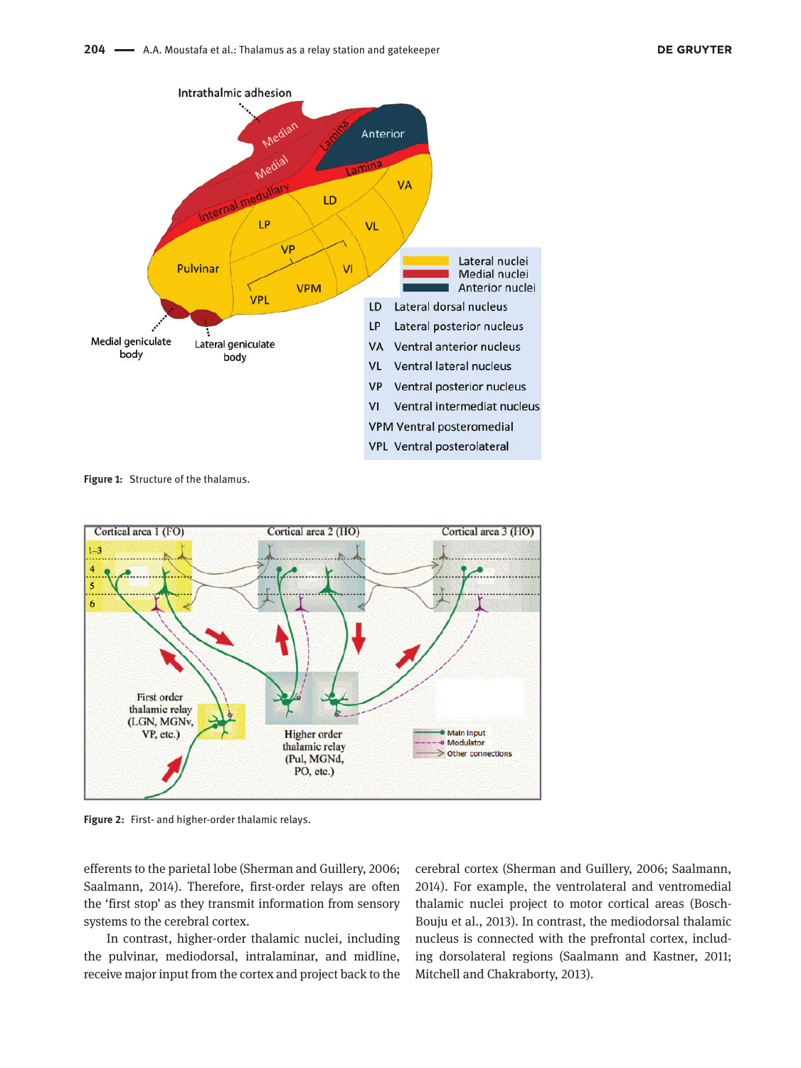

**Figure 1:** Structure of the thalamus.



**Figure 2:** First- and higher-order thalamic relays.

efferents to the parietal lobe (Sherman and Guillery, 2006; Saalmann, 2014). Therefore, first-order relays are often the 'first stop' as they transmit information from sensory systems to the cerebral cortex.

In contrast, higher-order thalamic nuclei, including the pulvinar, mediodorsal, intralaminar, and midline, receive major input from the cortex and project back to the cerebral cortex (Sherman and Guillery, 2006; Saalmann, 2014). For example, the ventrolateral and ventromedial thalamic nuclei project to motor cortical areas (Bosch-Bouju et al., 2013). In contrast, the mediodorsal thalamic nucleus is connected with the prefrontal cortex, including dorsolateral regions (Saalmann and Kastner, 2011; Mitchell and Chakraborty, 2013).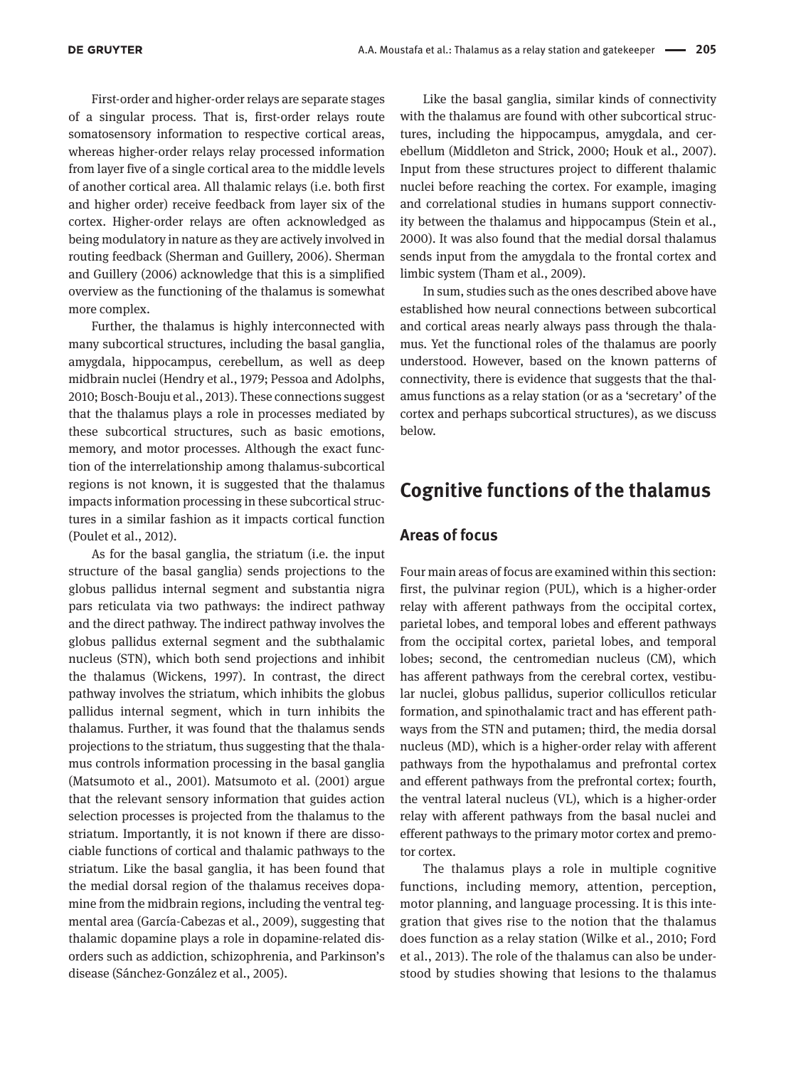First-order and higher-order relays are separate stages of a singular process. That is, first-order relays route somatosensory information to respective cortical areas, whereas higher-order relays relay processed information from layer five of a single cortical area to the middle levels of another cortical area. All thalamic relays (i.e. both first and higher order) receive feedback from layer six of the cortex. Higher-order relays are often acknowledged as being modulatory in nature as they are actively involved in routing feedback (Sherman and Guillery, 2006). Sherman and Guillery (2006) acknowledge that this is a simplified overview as the functioning of the thalamus is somewhat more complex.

Further, the thalamus is highly interconnected with many subcortical structures, including the basal ganglia, amygdala, hippocampus, cerebellum, as well as deep midbrain nuclei (Hendry et al., 1979; Pessoa and Adolphs, 2010; Bosch-Bouju et al., 2013). These connections suggest that the thalamus plays a role in processes mediated by these subcortical structures, such as basic emotions, memory, and motor processes. Although the exact function of the interrelationship among thalamus-subcortical regions is not known, it is suggested that the thalamus impacts information processing in these subcortical structures in a similar fashion as it impacts cortical function (Poulet et al., 2012).

As for the basal ganglia, the striatum (i.e. the input structure of the basal ganglia) sends projections to the globus pallidus internal segment and substantia nigra pars reticulata via two pathways: the indirect pathway and the direct pathway. The indirect pathway involves the globus pallidus external segment and the subthalamic nucleus (STN), which both send projections and inhibit the thalamus (Wickens, 1997). In contrast, the direct pathway involves the striatum, which inhibits the globus pallidus internal segment, which in turn inhibits the thalamus. Further, it was found that the thalamus sends projections to the striatum, thus suggesting that the thalamus controls information processing in the basal ganglia (Matsumoto et al., 2001). Matsumoto et al. (2001) argue that the relevant sensory information that guides action selection processes is projected from the thalamus to the striatum. Importantly, it is not known if there are dissociable functions of cortical and thalamic pathways to the striatum. Like the basal ganglia, it has been found that the medial dorsal region of the thalamus receives dopamine from the midbrain regions, including the ventral tegmental area (García-Cabezas et al., 2009), suggesting that thalamic dopamine plays a role in dopamine-related disorders such as addiction, schizophrenia, and Parkinson's disease (Sánchez-González et al., 2005).

Like the basal ganglia, similar kinds of connectivity with the thalamus are found with other subcortical structures, including the hippocampus, amygdala, and cerebellum (Middleton and Strick, 2000; Houk et al., 2007). Input from these structures project to different thalamic nuclei before reaching the cortex. For example, imaging and correlational studies in humans support connectivity between the thalamus and hippocampus (Stein et al., 2000). It was also found that the medial dorsal thalamus sends input from the amygdala to the frontal cortex and limbic system (Tham et al., 2009).

In sum, studies such as the ones described above have established how neural connections between subcortical and cortical areas nearly always pass through the thalamus. Yet the functional roles of the thalamus are poorly understood. However, based on the known patterns of connectivity, there is evidence that suggests that the thalamus functions as a relay station (or as a 'secretary' of the cortex and perhaps subcortical structures), as we discuss below.

# **Cognitive functions of the thalamus**

#### **Areas of focus**

Four main areas of focus are examined within this section: first, the pulvinar region (PUL), which is a higher-order relay with afferent pathways from the occipital cortex, parietal lobes, and temporal lobes and efferent pathways from the occipital cortex, parietal lobes, and temporal lobes; second, the centromedian nucleus (CM), which has afferent pathways from the cerebral cortex, vestibular nuclei, globus pallidus, superior collicullos reticular formation, and spinothalamic tract and has efferent pathways from the STN and putamen; third, the media dorsal nucleus (MD), which is a higher-order relay with afferent pathways from the hypothalamus and prefrontal cortex and efferent pathways from the prefrontal cortex; fourth, the ventral lateral nucleus (VL), which is a higher-order relay with afferent pathways from the basal nuclei and efferent pathways to the primary motor cortex and premotor cortex.

The thalamus plays a role in multiple cognitive functions, including memory, attention, perception, motor planning, and language processing. It is this integration that gives rise to the notion that the thalamus does function as a relay station (Wilke et al., 2010; Ford et al., 2013). The role of the thalamus can also be understood by studies showing that lesions to the thalamus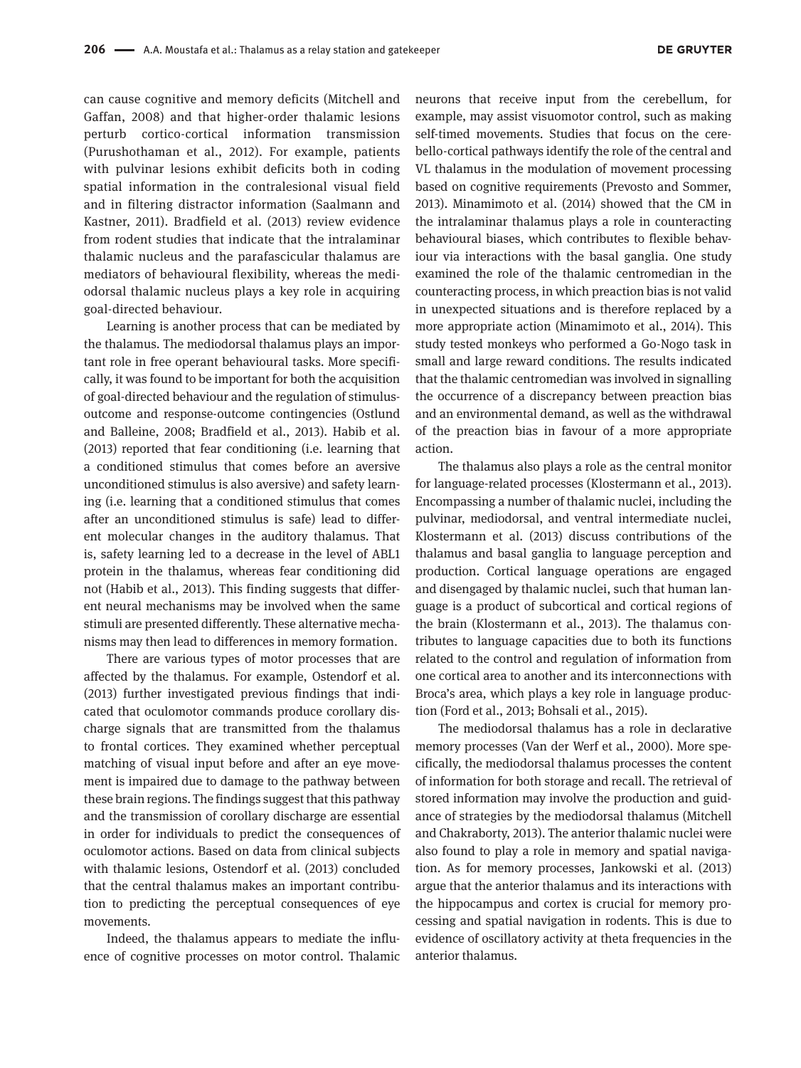can cause cognitive and memory deficits (Mitchell and Gaffan, 2008) and that higher-order thalamic lesions perturb cortico-cortical information transmission (Purushothaman et al., 2012). For example, patients with pulvinar lesions exhibit deficits both in coding spatial information in the contralesional visual field and in filtering distractor information (Saalmann and Kastner, 2011). Bradfield et al. (2013) review evidence from rodent studies that indicate that the intralaminar thalamic nucleus and the parafascicular thalamus are mediators of behavioural flexibility, whereas the mediodorsal thalamic nucleus plays a key role in acquiring goal-directed behaviour.

Learning is another process that can be mediated by the thalamus. The mediodorsal thalamus plays an important role in free operant behavioural tasks. More specifically, it was found to be important for both the acquisition of goal-directed behaviour and the regulation of stimulusoutcome and response-outcome contingencies (Ostlund and Balleine, 2008; Bradfield et al., 2013). Habib et al. (2013) reported that fear conditioning (i.e. learning that a conditioned stimulus that comes before an aversive unconditioned stimulus is also aversive) and safety learning (i.e. learning that a conditioned stimulus that comes after an unconditioned stimulus is safe) lead to different molecular changes in the auditory thalamus. That is, safety learning led to a decrease in the level of ABL1 protein in the thalamus, whereas fear conditioning did not (Habib et al., 2013). This finding suggests that different neural mechanisms may be involved when the same stimuli are presented differently. These alternative mechanisms may then lead to differences in memory formation.

There are various types of motor processes that are affected by the thalamus. For example, Ostendorf et al. (2013) further investigated previous findings that indicated that oculomotor commands produce corollary discharge signals that are transmitted from the thalamus to frontal cortices. They examined whether perceptual matching of visual input before and after an eye movement is impaired due to damage to the pathway between these brain regions. The findings suggest that this pathway and the transmission of corollary discharge are essential in order for individuals to predict the consequences of oculomotor actions. Based on data from clinical subjects with thalamic lesions, Ostendorf et al. (2013) concluded that the central thalamus makes an important contribution to predicting the perceptual consequences of eye movements.

Indeed, the thalamus appears to mediate the influence of cognitive processes on motor control. Thalamic

neurons that receive input from the cerebellum, for example, may assist visuomotor control, such as making self-timed movements. Studies that focus on the cerebello-cortical pathways identify the role of the central and VL thalamus in the modulation of movement processing based on cognitive requirements (Prevosto and Sommer, 2013). Minamimoto et al. (2014) showed that the CM in the intralaminar thalamus plays a role in counteracting behavioural biases, which contributes to flexible behaviour via interactions with the basal ganglia. One study examined the role of the thalamic centromedian in the counteracting process, in which preaction bias is not valid in unexpected situations and is therefore replaced by a more appropriate action (Minamimoto et al., 2014). This study tested monkeys who performed a Go-Nogo task in small and large reward conditions. The results indicated that the thalamic centromedian was involved in signalling the occurrence of a discrepancy between preaction bias and an environmental demand, as well as the withdrawal of the preaction bias in favour of a more appropriate action.

The thalamus also plays a role as the central monitor for language-related processes (Klostermann et al., 2013). Encompassing a number of thalamic nuclei, including the pulvinar, mediodorsal, and ventral intermediate nuclei, Klostermann et al. (2013) discuss contributions of the thalamus and basal ganglia to language perception and production. Cortical language operations are engaged and disengaged by thalamic nuclei, such that human language is a product of subcortical and cortical regions of the brain (Klostermann et al., 2013). The thalamus contributes to language capacities due to both its functions related to the control and regulation of information from one cortical area to another and its interconnections with Broca's area, which plays a key role in language production (Ford et al., 2013; Bohsali et al., 2015).

The mediodorsal thalamus has a role in declarative memory processes (Van der Werf et al., 2000). More specifically, the mediodorsal thalamus processes the content of information for both storage and recall. The retrieval of stored information may involve the production and guidance of strategies by the mediodorsal thalamus (Mitchell and Chakraborty, 2013). The anterior thalamic nuclei were also found to play a role in memory and spatial navigation. As for memory processes, Jankowski et al. (2013) argue that the anterior thalamus and its interactions with the hippocampus and cortex is crucial for memory processing and spatial navigation in rodents. This is due to evidence of oscillatory activity at theta frequencies in the anterior thalamus.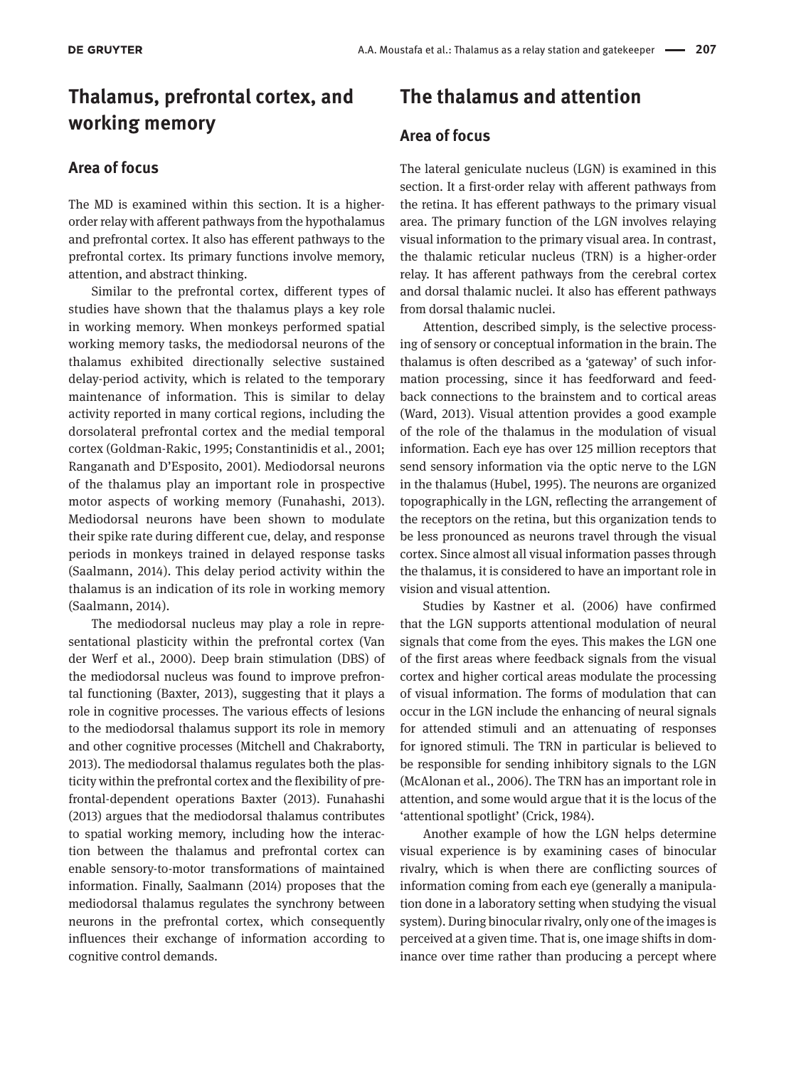# **Thalamus, prefrontal cortex, and working memory**

#### **Area of focus**

The MD is examined within this section. It is a higherorder relay with afferent pathways from the hypothalamus and prefrontal cortex. It also has efferent pathways to the prefrontal cortex. Its primary functions involve memory, attention, and abstract thinking.

Similar to the prefrontal cortex, different types of studies have shown that the thalamus plays a key role in working memory. When monkeys performed spatial working memory tasks, the mediodorsal neurons of the thalamus exhibited directionally selective sustained delay-period activity, which is related to the temporary maintenance of information. This is similar to delay activity reported in many cortical regions, including the dorsolateral prefrontal cortex and the medial temporal cortex (Goldman-Rakic, 1995; Constantinidis et al., 2001; Ranganath and D'Esposito, 2001). Mediodorsal neurons of the thalamus play an important role in prospective motor aspects of working memory (Funahashi, 2013). Mediodorsal neurons have been shown to modulate their spike rate during different cue, delay, and response periods in monkeys trained in delayed response tasks (Saalmann, 2014). This delay period activity within the thalamus is an indication of its role in working memory (Saalmann, 2014).

The mediodorsal nucleus may play a role in representational plasticity within the prefrontal cortex (Van der Werf et al., 2000). Deep brain stimulation (DBS) of the mediodorsal nucleus was found to improve prefrontal functioning (Baxter, 2013), suggesting that it plays a role in cognitive processes. The various effects of lesions to the mediodorsal thalamus support its role in memory and other cognitive processes (Mitchell and Chakraborty, 2013). The mediodorsal thalamus regulates both the plasticity within the prefrontal cortex and the flexibility of prefrontal-dependent operations Baxter (2013). Funahashi (2013) argues that the mediodorsal thalamus contributes to spatial working memory, including how the interaction between the thalamus and prefrontal cortex can enable sensory-to-motor transformations of maintained information. Finally, Saalmann (2014) proposes that the mediodorsal thalamus regulates the synchrony between neurons in the prefrontal cortex, which consequently influences their exchange of information according to cognitive control demands.

# **The thalamus and attention**

### **Area of focus**

The lateral geniculate nucleus (LGN) is examined in this section. It a first-order relay with afferent pathways from the retina. It has efferent pathways to the primary visual area. The primary function of the LGN involves relaying visual information to the primary visual area. In contrast, the thalamic reticular nucleus (TRN) is a higher-order relay. It has afferent pathways from the cerebral cortex and dorsal thalamic nuclei. It also has efferent pathways from dorsal thalamic nuclei.

Attention, described simply, is the selective processing of sensory or conceptual information in the brain. The thalamus is often described as a 'gateway' of such information processing, since it has feedforward and feedback connections to the brainstem and to cortical areas (Ward, 2013). Visual attention provides a good example of the role of the thalamus in the modulation of visual information. Each eye has over 125 million receptors that send sensory information via the optic nerve to the LGN in the thalamus (Hubel, 1995). The neurons are organized topographically in the LGN, reflecting the arrangement of the receptors on the retina, but this organization tends to be less pronounced as neurons travel through the visual cortex. Since almost all visual information passes through the thalamus, it is considered to have an important role in vision and visual attention.

Studies by Kastner et al. (2006) have confirmed that the LGN supports attentional modulation of neural signals that come from the eyes. This makes the LGN one of the first areas where feedback signals from the visual cortex and higher cortical areas modulate the processing of visual information. The forms of modulation that can occur in the LGN include the enhancing of neural signals for attended stimuli and an attenuating of responses for ignored stimuli. The TRN in particular is believed to be responsible for sending inhibitory signals to the LGN (McAlonan et al., 2006). The TRN has an important role in attention, and some would argue that it is the locus of the 'attentional spotlight' (Crick, 1984).

Another example of how the LGN helps determine visual experience is by examining cases of binocular rivalry, which is when there are conflicting sources of information coming from each eye (generally a manipulation done in a laboratory setting when studying the visual system). During binocular rivalry, only one of the images is perceived at a given time. That is, one image shifts in dominance over time rather than producing a percept where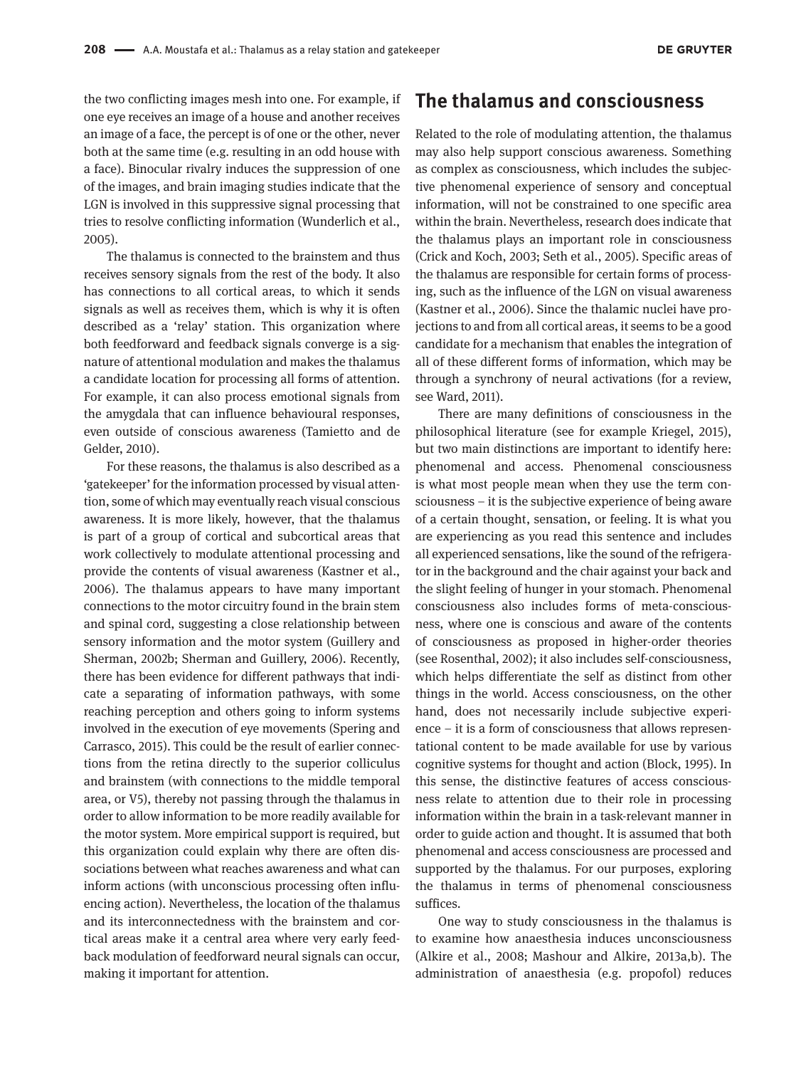the two conflicting images mesh into one. For example, if one eye receives an image of a house and another receives an image of a face, the percept is of one or the other, never both at the same time (e.g. resulting in an odd house with a face). Binocular rivalry induces the suppression of one of the images, and brain imaging studies indicate that the LGN is involved in this suppressive signal processing that tries to resolve conflicting information (Wunderlich et al., 2005).

The thalamus is connected to the brainstem and thus receives sensory signals from the rest of the body. It also has connections to all cortical areas, to which it sends signals as well as receives them, which is why it is often described as a 'relay' station. This organization where both feedforward and feedback signals converge is a signature of attentional modulation and makes the thalamus a candidate location for processing all forms of attention. For example, it can also process emotional signals from the amygdala that can influence behavioural responses, even outside of conscious awareness (Tamietto and de Gelder, 2010).

For these reasons, the thalamus is also described as a 'gatekeeper' for the information processed by visual attention, some of which may eventually reach visual conscious awareness. It is more likely, however, that the thalamus is part of a group of cortical and subcortical areas that work collectively to modulate attentional processing and provide the contents of visual awareness (Kastner et al., 2006). The thalamus appears to have many important connections to the motor circuitry found in the brain stem and spinal cord, suggesting a close relationship between sensory information and the motor system (Guillery and Sherman, 2002b; Sherman and Guillery, 2006). Recently, there has been evidence for different pathways that indicate a separating of information pathways, with some reaching perception and others going to inform systems involved in the execution of eye movements (Spering and Carrasco, 2015). This could be the result of earlier connections from the retina directly to the superior colliculus and brainstem (with connections to the middle temporal area, or V5), thereby not passing through the thalamus in order to allow information to be more readily available for the motor system. More empirical support is required, but this organization could explain why there are often dissociations between what reaches awareness and what can inform actions (with unconscious processing often influencing action). Nevertheless, the location of the thalamus and its interconnectedness with the brainstem and cortical areas make it a central area where very early feedback modulation of feedforward neural signals can occur, making it important for attention.

# **The thalamus and consciousness**

Related to the role of modulating attention, the thalamus may also help support conscious awareness. Something as complex as consciousness, which includes the subjective phenomenal experience of sensory and conceptual information, will not be constrained to one specific area within the brain. Nevertheless, research does indicate that the thalamus plays an important role in consciousness (Crick and Koch, 2003; Seth et al., 2005). Specific areas of the thalamus are responsible for certain forms of processing, such as the influence of the LGN on visual awareness (Kastner et al., 2006). Since the thalamic nuclei have projections to and from all cortical areas, it seems to be a good candidate for a mechanism that enables the integration of all of these different forms of information, which may be through a synchrony of neural activations (for a review, see Ward, 2011).

There are many definitions of consciousness in the philosophical literature (see for example Kriegel, 2015), but two main distinctions are important to identify here: phenomenal and access. Phenomenal consciousness is what most people mean when they use the term consciousness – it is the subjective experience of being aware of a certain thought, sensation, or feeling. It is what you are experiencing as you read this sentence and includes all experienced sensations, like the sound of the refrigerator in the background and the chair against your back and the slight feeling of hunger in your stomach. Phenomenal consciousness also includes forms of meta-consciousness, where one is conscious and aware of the contents of consciousness as proposed in higher-order theories (see Rosenthal, 2002); it also includes self-consciousness, which helps differentiate the self as distinct from other things in the world. Access consciousness, on the other hand, does not necessarily include subjective experience – it is a form of consciousness that allows representational content to be made available for use by various cognitive systems for thought and action (Block, 1995). In this sense, the distinctive features of access consciousness relate to attention due to their role in processing information within the brain in a task-relevant manner in order to guide action and thought. It is assumed that both phenomenal and access consciousness are processed and supported by the thalamus. For our purposes, exploring the thalamus in terms of phenomenal consciousness suffices.

One way to study consciousness in the thalamus is to examine how anaesthesia induces unconsciousness (Alkire et al., 2008; Mashour and Alkire, 2013a,b). The administration of anaesthesia (e.g. propofol) reduces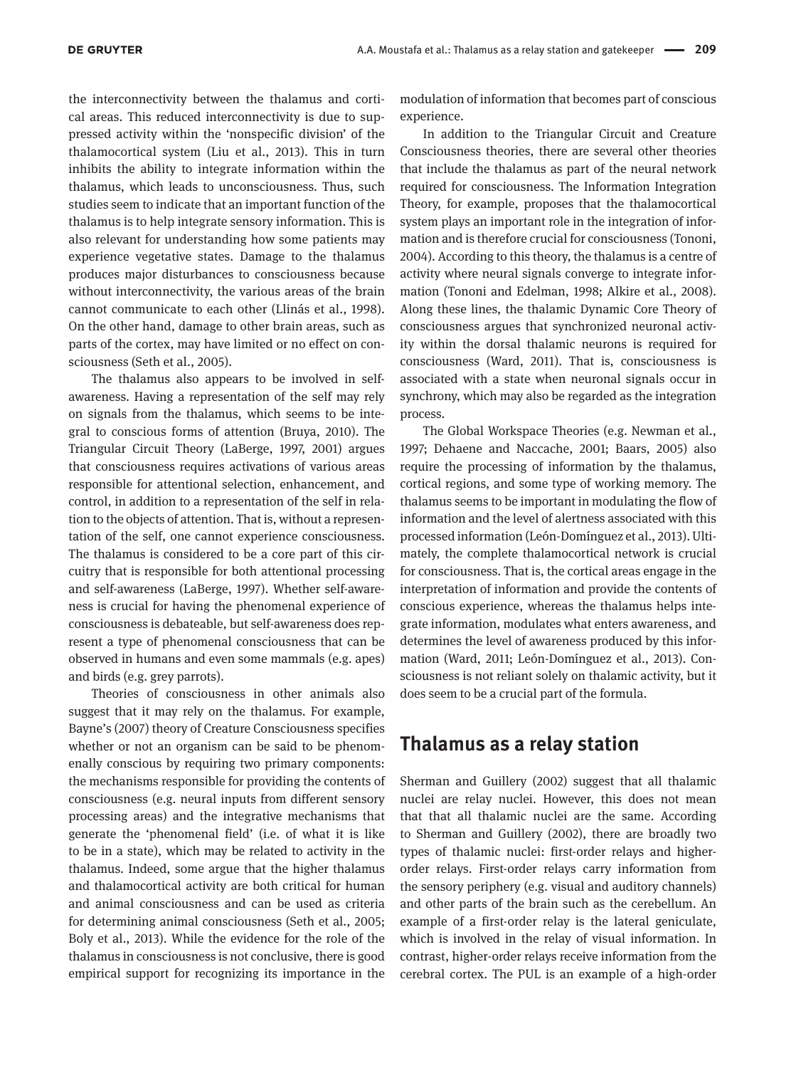the interconnectivity between the thalamus and cortical areas. This reduced interconnectivity is due to suppressed activity within the 'nonspecific division' of the thalamocortical system (Liu et al., 2013). This in turn inhibits the ability to integrate information within the thalamus, which leads to unconsciousness. Thus, such studies seem to indicate that an important function of the thalamus is to help integrate sensory information. This is also relevant for understanding how some patients may experience vegetative states. Damage to the thalamus produces major disturbances to consciousness because without interconnectivity, the various areas of the brain cannot communicate to each other (Llinás et al., 1998). On the other hand, damage to other brain areas, such as parts of the cortex, may have limited or no effect on consciousness (Seth et al., 2005).

The thalamus also appears to be involved in selfawareness. Having a representation of the self may rely on signals from the thalamus, which seems to be integral to conscious forms of attention (Bruya, 2010). The Triangular Circuit Theory (LaBerge, 1997, 2001) argues that consciousness requires activations of various areas responsible for attentional selection, enhancement, and control, in addition to a representation of the self in relation to the objects of attention. That is, without a representation of the self, one cannot experience consciousness. The thalamus is considered to be a core part of this circuitry that is responsible for both attentional processing and self-awareness (LaBerge, 1997). Whether self-awareness is crucial for having the phenomenal experience of consciousness is debateable, but self-awareness does represent a type of phenomenal consciousness that can be observed in humans and even some mammals (e.g. apes) and birds (e.g. grey parrots).

Theories of consciousness in other animals also suggest that it may rely on the thalamus. For example, Bayne's (2007) theory of Creature Consciousness specifies whether or not an organism can be said to be phenomenally conscious by requiring two primary components: the mechanisms responsible for providing the contents of consciousness (e.g. neural inputs from different sensory processing areas) and the integrative mechanisms that generate the 'phenomenal field' (i.e. of what it is like to be in a state), which may be related to activity in the thalamus. Indeed, some argue that the higher thalamus and thalamocortical activity are both critical for human and animal consciousness and can be used as criteria for determining animal consciousness (Seth et al., 2005; Boly et al., 2013). While the evidence for the role of the thalamus in consciousness is not conclusive, there is good empirical support for recognizing its importance in the modulation of information that becomes part of conscious experience.

In addition to the Triangular Circuit and Creature Consciousness theories, there are several other theories that include the thalamus as part of the neural network required for consciousness. The Information Integration Theory, for example, proposes that the thalamocortical system plays an important role in the integration of information and is therefore crucial for consciousness (Tononi, 2004). According to this theory, the thalamus is a centre of activity where neural signals converge to integrate information (Tononi and Edelman, 1998; Alkire et al., 2008). Along these lines, the thalamic Dynamic Core Theory of consciousness argues that synchronized neuronal activity within the dorsal thalamic neurons is required for consciousness (Ward, 2011). That is, consciousness is associated with a state when neuronal signals occur in synchrony, which may also be regarded as the integration process.

The Global Workspace Theories (e.g. Newman et al., 1997; Dehaene and Naccache, 2001; Baars, 2005) also require the processing of information by the thalamus, cortical regions, and some type of working memory. The thalamus seems to be important in modulating the flow of information and the level of alertness associated with this processed information (León-Domínguez et al., 2013). Ultimately, the complete thalamocortical network is crucial for consciousness. That is, the cortical areas engage in the interpretation of information and provide the contents of conscious experience, whereas the thalamus helps integrate information, modulates what enters awareness, and determines the level of awareness produced by this information (Ward, 2011; León-Domínguez et al., 2013). Consciousness is not reliant solely on thalamic activity, but it does seem to be a crucial part of the formula.

### **Thalamus as a relay station**

Sherman and Guillery (2002) suggest that all thalamic nuclei are relay nuclei. However, this does not mean that that all thalamic nuclei are the same. According to Sherman and Guillery (2002), there are broadly two types of thalamic nuclei: first-order relays and higherorder relays. First-order relays carry information from the sensory periphery (e.g. visual and auditory channels) and other parts of the brain such as the cerebellum. An example of a first-order relay is the lateral geniculate, which is involved in the relay of visual information. In contrast, higher-order relays receive information from the cerebral cortex. The PUL is an example of a high-order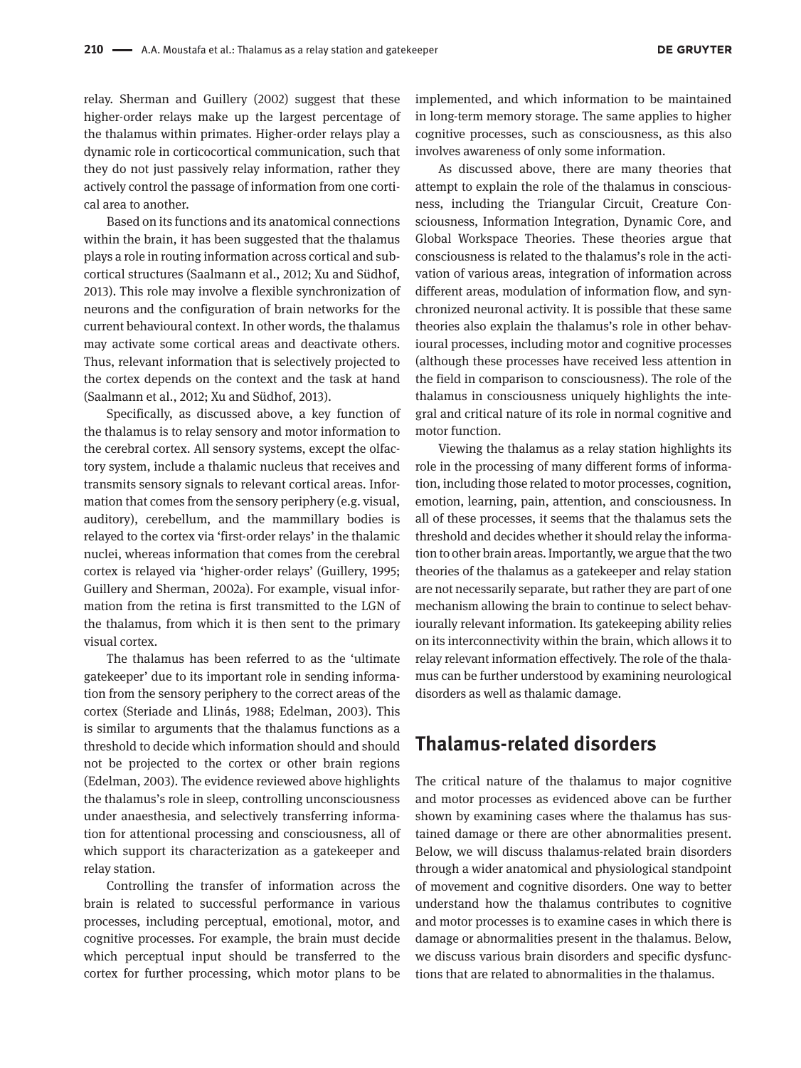relay. Sherman and Guillery (2002) suggest that these higher-order relays make up the largest percentage of the thalamus within primates. Higher-order relays play a dynamic role in corticocortical communication, such that they do not just passively relay information, rather they actively control the passage of information from one cortical area to another.

Based on its functions and its anatomical connections within the brain, it has been suggested that the thalamus plays a role in routing information across cortical and subcortical structures (Saalmann et al., 2012; Xu and Südhof, 2013). This role may involve a flexible synchronization of neurons and the configuration of brain networks for the current behavioural context. In other words, the thalamus may activate some cortical areas and deactivate others. Thus, relevant information that is selectively projected to the cortex depends on the context and the task at hand (Saalmann et al., 2012; Xu and Südhof, 2013).

Specifically, as discussed above, a key function of the thalamus is to relay sensory and motor information to the cerebral cortex. All sensory systems, except the olfactory system, include a thalamic nucleus that receives and transmits sensory signals to relevant cortical areas. Information that comes from the sensory periphery (e.g. visual, auditory), cerebellum, and the mammillary bodies is relayed to the cortex via 'first-order relays' in the thalamic nuclei, whereas information that comes from the cerebral cortex is relayed via 'higher-order relays' (Guillery, 1995; Guillery and Sherman, 2002a). For example, visual information from the retina is first transmitted to the LGN of the thalamus, from which it is then sent to the primary visual cortex.

The thalamus has been referred to as the 'ultimate gatekeeper' due to its important role in sending information from the sensory periphery to the correct areas of the cortex (Steriade and Llinás, 1988; Edelman, 2003). This is similar to arguments that the thalamus functions as a threshold to decide which information should and should not be projected to the cortex or other brain regions (Edelman, 2003). The evidence reviewed above highlights the thalamus's role in sleep, controlling unconsciousness under anaesthesia, and selectively transferring information for attentional processing and consciousness, all of which support its characterization as a gatekeeper and relay station.

Controlling the transfer of information across the brain is related to successful performance in various processes, including perceptual, emotional, motor, and cognitive processes. For example, the brain must decide which perceptual input should be transferred to the cortex for further processing, which motor plans to be

implemented, and which information to be maintained in long-term memory storage. The same applies to higher cognitive processes, such as consciousness, as this also involves awareness of only some information.

As discussed above, there are many theories that attempt to explain the role of the thalamus in consciousness, including the Triangular Circuit, Creature Consciousness, Information Integration, Dynamic Core, and Global Workspace Theories. These theories argue that consciousness is related to the thalamus's role in the activation of various areas, integration of information across different areas, modulation of information flow, and synchronized neuronal activity. It is possible that these same theories also explain the thalamus's role in other behavioural processes, including motor and cognitive processes (although these processes have received less attention in the field in comparison to consciousness). The role of the thalamus in consciousness uniquely highlights the integral and critical nature of its role in normal cognitive and motor function.

Viewing the thalamus as a relay station highlights its role in the processing of many different forms of information, including those related to motor processes, cognition, emotion, learning, pain, attention, and consciousness. In all of these processes, it seems that the thalamus sets the threshold and decides whether it should relay the information to other brain areas. Importantly, we argue that the two theories of the thalamus as a gatekeeper and relay station are not necessarily separate, but rather they are part of one mechanism allowing the brain to continue to select behaviourally relevant information. Its gatekeeping ability relies on its interconnectivity within the brain, which allows it to relay relevant information effectively. The role of the thalamus can be further understood by examining neurological disorders as well as thalamic damage.

# **Thalamus-related disorders**

The critical nature of the thalamus to major cognitive and motor processes as evidenced above can be further shown by examining cases where the thalamus has sustained damage or there are other abnormalities present. Below, we will discuss thalamus-related brain disorders through a wider anatomical and physiological standpoint of movement and cognitive disorders. One way to better understand how the thalamus contributes to cognitive and motor processes is to examine cases in which there is damage or abnormalities present in the thalamus. Below, we discuss various brain disorders and specific dysfunctions that are related to abnormalities in the thalamus.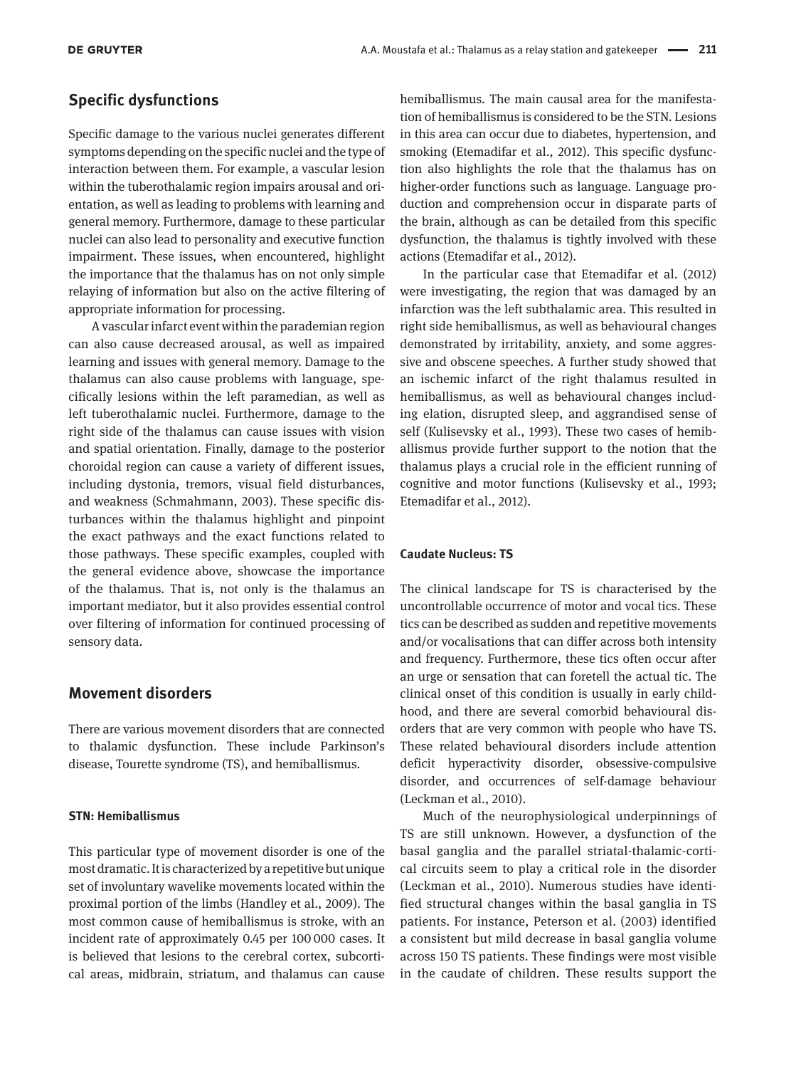#### **Specific dysfunctions**

Specific damage to the various nuclei generates different symptoms depending on the specific nuclei and the type of interaction between them. For example, a vascular lesion within the tuberothalamic region impairs arousal and orientation, as well as leading to problems with learning and general memory. Furthermore, damage to these particular nuclei can also lead to personality and executive function impairment. These issues, when encountered, highlight the importance that the thalamus has on not only simple relaying of information but also on the active filtering of appropriate information for processing.

A vascular infarct event within the parademian region can also cause decreased arousal, as well as impaired learning and issues with general memory. Damage to the thalamus can also cause problems with language, specifically lesions within the left paramedian, as well as left tuberothalamic nuclei. Furthermore, damage to the right side of the thalamus can cause issues with vision and spatial orientation. Finally, damage to the posterior choroidal region can cause a variety of different issues, including dystonia, tremors, visual field disturbances, and weakness (Schmahmann, 2003). These specific disturbances within the thalamus highlight and pinpoint the exact pathways and the exact functions related to those pathways. These specific examples, coupled with the general evidence above, showcase the importance of the thalamus. That is, not only is the thalamus an important mediator, but it also provides essential control over filtering of information for continued processing of sensory data.

### **Movement disorders**

There are various movement disorders that are connected to thalamic dysfunction. These include Parkinson's disease, Tourette syndrome (TS), and hemiballismus.

#### **STN: Hemiballismus**

This particular type of movement disorder is one of the most dramatic. It is characterized by a repetitive but unique set of involuntary wavelike movements located within the proximal portion of the limbs (Handley et al., 2009). The most common cause of hemiballismus is stroke, with an incident rate of approximately 0.45 per 100 000 cases. It is believed that lesions to the cerebral cortex, subcortical areas, midbrain, striatum, and thalamus can cause

hemiballismus. The main causal area for the manifestation of hemiballismus is considered to be the STN. Lesions in this area can occur due to diabetes, hypertension, and smoking (Etemadifar et al., 2012). This specific dysfunction also highlights the role that the thalamus has on higher-order functions such as language. Language production and comprehension occur in disparate parts of the brain, although as can be detailed from this specific dysfunction, the thalamus is tightly involved with these actions (Etemadifar et al., 2012).

In the particular case that Etemadifar et al. (2012) were investigating, the region that was damaged by an infarction was the left subthalamic area. This resulted in right side hemiballismus, as well as behavioural changes demonstrated by irritability, anxiety, and some aggressive and obscene speeches. A further study showed that an ischemic infarct of the right thalamus resulted in hemiballismus, as well as behavioural changes including elation, disrupted sleep, and aggrandised sense of self (Kulisevsky et al., 1993). These two cases of hemiballismus provide further support to the notion that the thalamus plays a crucial role in the efficient running of cognitive and motor functions (Kulisevsky et al., 1993; Etemadifar et al., 2012).

#### **Caudate Nucleus: TS**

The clinical landscape for TS is characterised by the uncontrollable occurrence of motor and vocal tics. These tics can be described as sudden and repetitive movements and/or vocalisations that can differ across both intensity and frequency. Furthermore, these tics often occur after an urge or sensation that can foretell the actual tic. The clinical onset of this condition is usually in early childhood, and there are several comorbid behavioural disorders that are very common with people who have TS. These related behavioural disorders include attention deficit hyperactivity disorder, obsessive-compulsive disorder, and occurrences of self-damage behaviour (Leckman et al., 2010).

Much of the neurophysiological underpinnings of TS are still unknown. However, a dysfunction of the basal ganglia and the parallel striatal-thalamic-cortical circuits seem to play a critical role in the disorder (Leckman et al., 2010). Numerous studies have identified structural changes within the basal ganglia in TS patients. For instance, Peterson et al. (2003) identified a consistent but mild decrease in basal ganglia volume across 150 TS patients. These findings were most visible in the caudate of children. These results support the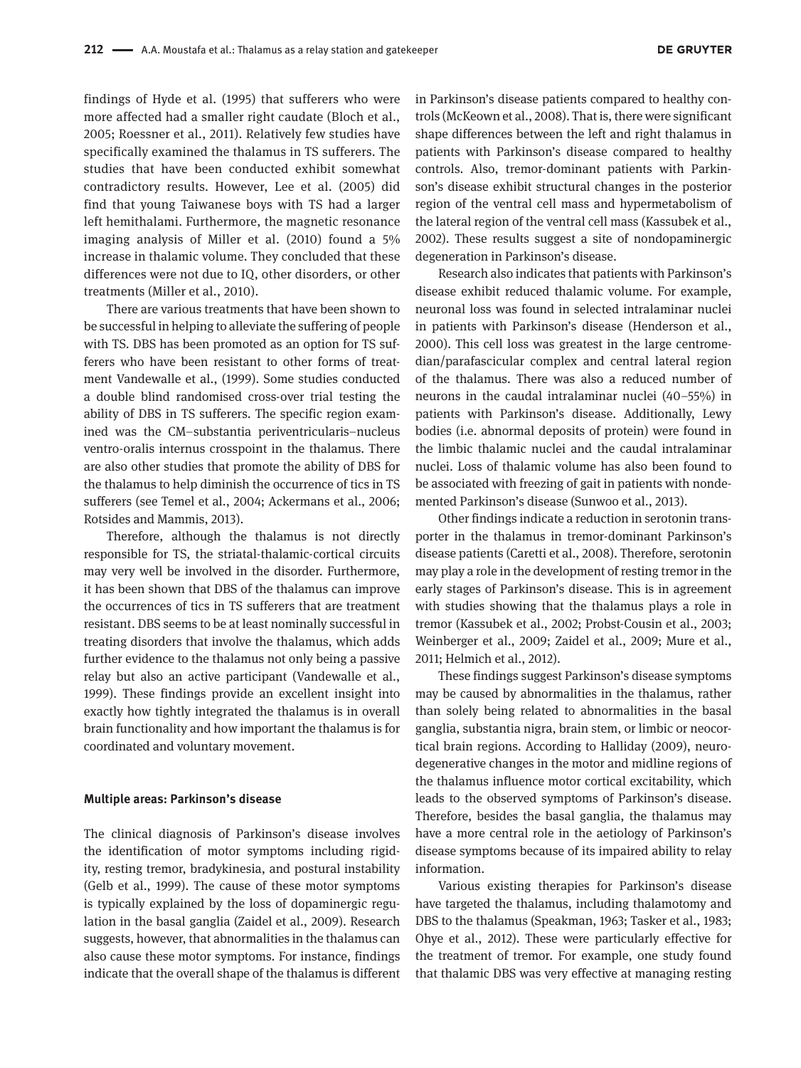findings of Hyde et al. (1995) that sufferers who were more affected had a smaller right caudate (Bloch et al., 2005; Roessner et al., 2011). Relatively few studies have specifically examined the thalamus in TS sufferers. The studies that have been conducted exhibit somewhat contradictory results. However, Lee et al. (2005) did find that young Taiwanese boys with TS had a larger left hemithalami. Furthermore, the magnetic resonance imaging analysis of Miller et al. (2010) found a 5% increase in thalamic volume. They concluded that these differences were not due to IQ, other disorders, or other treatments (Miller et al., 2010).

There are various treatments that have been shown to be successful in helping to alleviate the suffering of people with TS. DBS has been promoted as an option for TS sufferers who have been resistant to other forms of treatment Vandewalle et al., (1999). Some studies conducted a double blind randomised cross-over trial testing the ability of DBS in TS sufferers. The specific region examined was the CM–substantia periventricularis–nucleus ventro-oralis internus crosspoint in the thalamus. There are also other studies that promote the ability of DBS for the thalamus to help diminish the occurrence of tics in TS sufferers (see Temel et al., 2004; Ackermans et al., 2006; Rotsides and Mammis, 2013).

Therefore, although the thalamus is not directly responsible for TS, the striatal-thalamic-cortical circuits may very well be involved in the disorder. Furthermore, it has been shown that DBS of the thalamus can improve the occurrences of tics in TS sufferers that are treatment resistant. DBS seems to be at least nominally successful in treating disorders that involve the thalamus, which adds further evidence to the thalamus not only being a passive relay but also an active participant (Vandewalle et al., 1999). These findings provide an excellent insight into exactly how tightly integrated the thalamus is in overall brain functionality and how important the thalamus is for coordinated and voluntary movement.

#### **Multiple areas: Parkinson's disease**

The clinical diagnosis of Parkinson's disease involves the identification of motor symptoms including rigidity, resting tremor, bradykinesia, and postural instability (Gelb et al., 1999). The cause of these motor symptoms is typically explained by the loss of dopaminergic regulation in the basal ganglia (Zaidel et al., 2009). Research suggests, however, that abnormalities in the thalamus can also cause these motor symptoms. For instance, findings indicate that the overall shape of the thalamus is different

in Parkinson's disease patients compared to healthy controls (McKeown et al., 2008). That is, there were significant shape differences between the left and right thalamus in patients with Parkinson's disease compared to healthy controls. Also, tremor-dominant patients with Parkinson's disease exhibit structural changes in the posterior region of the ventral cell mass and hypermetabolism of the lateral region of the ventral cell mass (Kassubek et al., 2002). These results suggest a site of nondopaminergic degeneration in Parkinson's disease.

Research also indicates that patients with Parkinson's disease exhibit reduced thalamic volume. For example, neuronal loss was found in selected intralaminar nuclei in patients with Parkinson's disease (Henderson et al., 2000). This cell loss was greatest in the large centromedian/parafascicular complex and central lateral region of the thalamus. There was also a reduced number of neurons in the caudal intralaminar nuclei (40–55%) in patients with Parkinson's disease. Additionally, Lewy bodies (i.e. abnormal deposits of protein) were found in the limbic thalamic nuclei and the caudal intralaminar nuclei. Loss of thalamic volume has also been found to be associated with freezing of gait in patients with nondemented Parkinson's disease (Sunwoo et al., 2013).

Other findings indicate a reduction in serotonin transporter in the thalamus in tremor-dominant Parkinson's disease patients (Caretti et al., 2008). Therefore, serotonin may play a role in the development of resting tremor in the early stages of Parkinson's disease. This is in agreement with studies showing that the thalamus plays a role in tremor (Kassubek et al., 2002; Probst-Cousin et al., 2003; Weinberger et al., 2009; Zaidel et al., 2009; Mure et al., 2011; Helmich et al., 2012).

These findings suggest Parkinson's disease symptoms may be caused by abnormalities in the thalamus, rather than solely being related to abnormalities in the basal ganglia, substantia nigra, brain stem, or limbic or neocortical brain regions. According to Halliday (2009), neurodegenerative changes in the motor and midline regions of the thalamus influence motor cortical excitability, which leads to the observed symptoms of Parkinson's disease. Therefore, besides the basal ganglia, the thalamus may have a more central role in the aetiology of Parkinson's disease symptoms because of its impaired ability to relay information.

Various existing therapies for Parkinson's disease have targeted the thalamus, including thalamotomy and DBS to the thalamus (Speakman, 1963; Tasker et al., 1983; Ohye et al., 2012). These were particularly effective for the treatment of tremor. For example, one study found that thalamic DBS was very effective at managing resting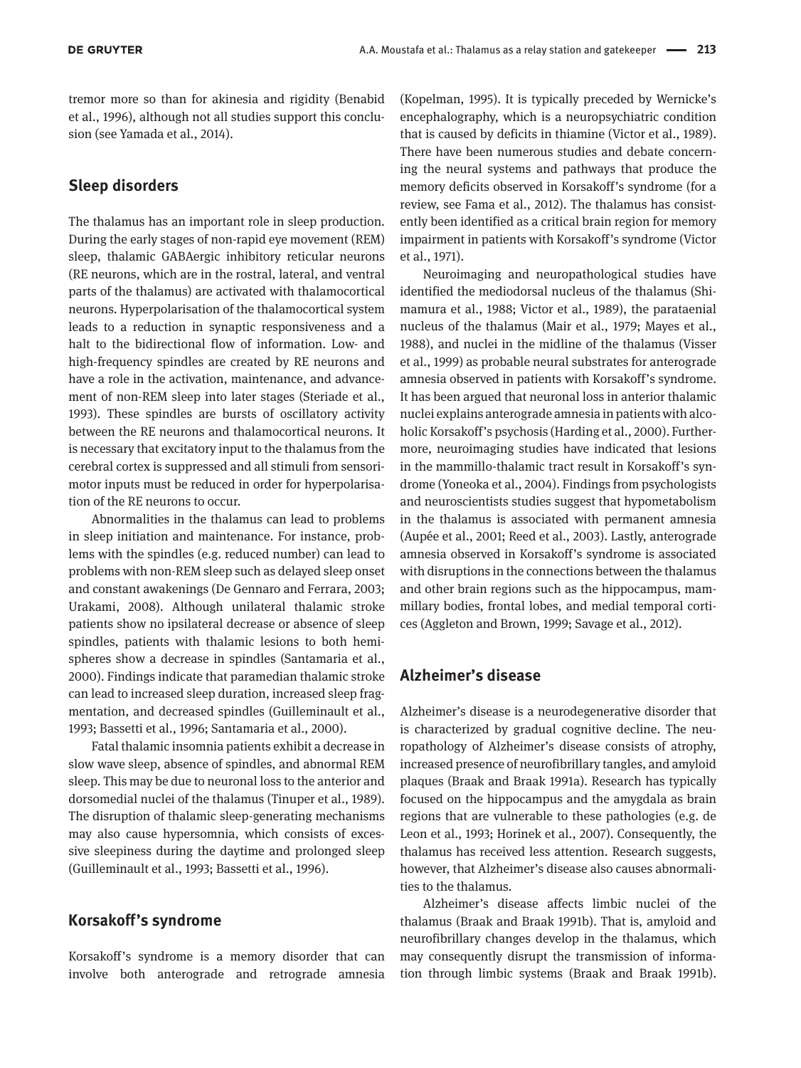tremor more so than for akinesia and rigidity (Benabid et al., 1996), although not all studies support this conclusion (see Yamada et al., 2014).

#### **Sleep disorders**

The thalamus has an important role in sleep production. During the early stages of non-rapid eye movement (REM) sleep, thalamic GABAergic inhibitory reticular neurons (RE neurons, which are in the rostral, lateral, and ventral parts of the thalamus) are activated with thalamocortical neurons. Hyperpolarisation of the thalamocortical system leads to a reduction in synaptic responsiveness and a halt to the bidirectional flow of information. Low- and high-frequency spindles are created by RE neurons and have a role in the activation, maintenance, and advancement of non-REM sleep into later stages (Steriade et al., 1993). These spindles are bursts of oscillatory activity between the RE neurons and thalamocortical neurons. It is necessary that excitatory input to the thalamus from the cerebral cortex is suppressed and all stimuli from sensorimotor inputs must be reduced in order for hyperpolarisation of the RE neurons to occur.

Abnormalities in the thalamus can lead to problems in sleep initiation and maintenance. For instance, problems with the spindles (e.g. reduced number) can lead to problems with non-REM sleep such as delayed sleep onset and constant awakenings (De Gennaro and Ferrara, 2003; Urakami, 2008). Although unilateral thalamic stroke patients show no ipsilateral decrease or absence of sleep spindles, patients with thalamic lesions to both hemispheres show a decrease in spindles (Santamaria et al., 2000). Findings indicate that paramedian thalamic stroke can lead to increased sleep duration, increased sleep fragmentation, and decreased spindles (Guilleminault et al., 1993; Bassetti et al., 1996; Santamaria et al., 2000).

Fatal thalamic insomnia patients exhibit a decrease in slow wave sleep, absence of spindles, and abnormal REM sleep. This may be due to neuronal loss to the anterior and dorsomedial nuclei of the thalamus (Tinuper et al., 1989). The disruption of thalamic sleep-generating mechanisms may also cause hypersomnia, which consists of excessive sleepiness during the daytime and prolonged sleep (Guilleminault et al., 1993; Bassetti et al., 1996).

#### **Korsakoff's syndrome**

Korsakoff's syndrome is a memory disorder that can involve both anterograde and retrograde amnesia

(Kopelman, 1995). It is typically preceded by Wernicke's encephalography, which is a neuropsychiatric condition that is caused by deficits in thiamine (Victor et al., 1989). There have been numerous studies and debate concerning the neural systems and pathways that produce the memory deficits observed in Korsakoff's syndrome (for a review, see Fama et al., 2012). The thalamus has consistently been identified as a critical brain region for memory impairment in patients with Korsakoff's syndrome (Victor et al., 1971).

Neuroimaging and neuropathological studies have identified the mediodorsal nucleus of the thalamus (Shimamura et al., 1988; Victor et al., 1989), the parataenial nucleus of the thalamus (Mair et al., 1979; Mayes et al., 1988), and nuclei in the midline of the thalamus (Visser et al., 1999) as probable neural substrates for anterograde amnesia observed in patients with Korsakoff's syndrome. It has been argued that neuronal loss in anterior thalamic nuclei explains anterograde amnesia in patients with alcoholic Korsakoff's psychosis (Harding et al., 2000). Furthermore, neuroimaging studies have indicated that lesions in the mammillo-thalamic tract result in Korsakoff's syndrome (Yoneoka et al., 2004). Findings from psychologists and neuroscientists studies suggest that hypometabolism in the thalamus is associated with permanent amnesia (Aupée et al., 2001; Reed et al., 2003). Lastly, anterograde amnesia observed in Korsakoff's syndrome is associated with disruptions in the connections between the thalamus and other brain regions such as the hippocampus, mammillary bodies, frontal lobes, and medial temporal cortices (Aggleton and Brown, 1999; Savage et al., 2012).

#### **Alzheimer's disease**

Alzheimer's disease is a neurodegenerative disorder that is characterized by gradual cognitive decline. The neuropathology of Alzheimer's disease consists of atrophy, increased presence of neurofibrillary tangles, and amyloid plaques (Braak and Braak 1991a). Research has typically focused on the hippocampus and the amygdala as brain regions that are vulnerable to these pathologies (e.g. de Leon et al., 1993; Horinek et al., 2007). Consequently, the thalamus has received less attention. Research suggests, however, that Alzheimer's disease also causes abnormalities to the thalamus.

Alzheimer's disease affects limbic nuclei of the thalamus (Braak and Braak 1991b). That is, amyloid and neurofibrillary changes develop in the thalamus, which may consequently disrupt the transmission of information through limbic systems (Braak and Braak 1991b).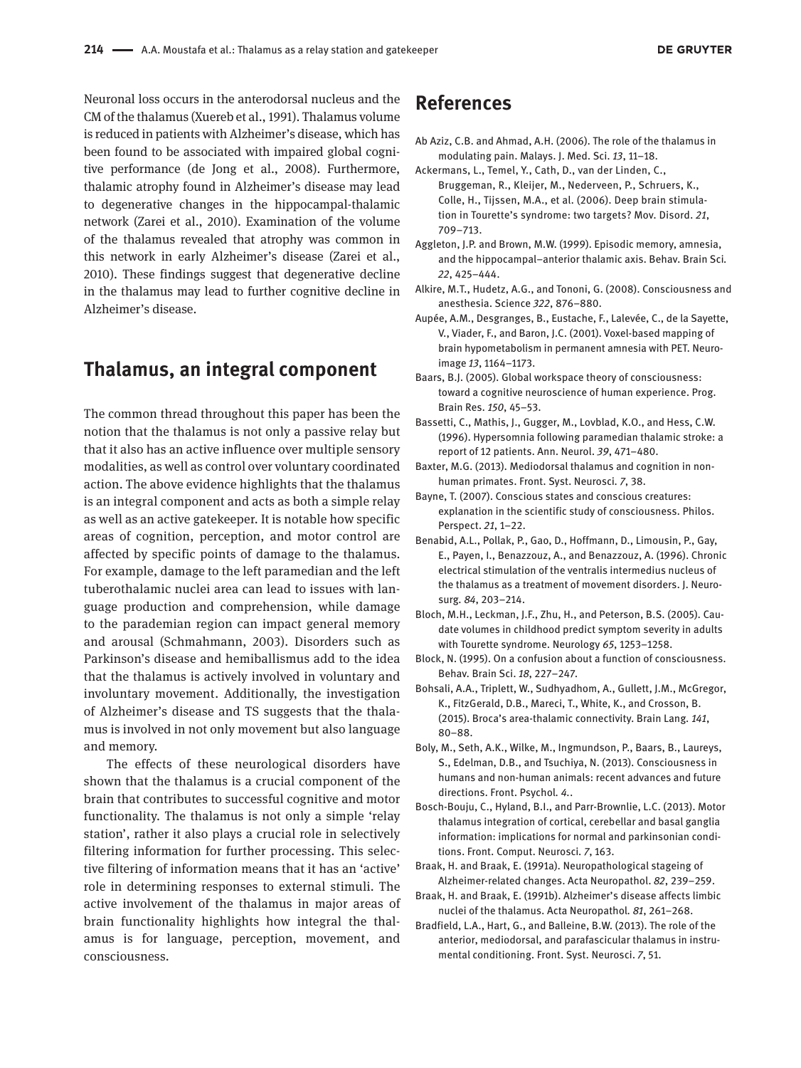Neuronal loss occurs in the anterodorsal nucleus and the CM of the thalamus (Xuereb et al., 1991). Thalamus volume is reduced in patients with Alzheimer's disease, which has been found to be associated with impaired global cognitive performance (de Jong et al., 2008). Furthermore, thalamic atrophy found in Alzheimer's disease may lead to degenerative changes in the hippocampal-thalamic network (Zarei et al., 2010). Examination of the volume of the thalamus revealed that atrophy was common in this network in early Alzheimer's disease (Zarei et al., 2010). These findings suggest that degenerative decline in the thalamus may lead to further cognitive decline in Alzheimer's disease.

# **Thalamus, an integral component**

The common thread throughout this paper has been the notion that the thalamus is not only a passive relay but that it also has an active influence over multiple sensory modalities, as well as control over voluntary coordinated action. The above evidence highlights that the thalamus is an integral component and acts as both a simple relay as well as an active gatekeeper. It is notable how specific areas of cognition, perception, and motor control are affected by specific points of damage to the thalamus. For example, damage to the left paramedian and the left tuberothalamic nuclei area can lead to issues with language production and comprehension, while damage to the parademian region can impact general memory and arousal (Schmahmann, 2003). Disorders such as Parkinson's disease and hemiballismus add to the idea that the thalamus is actively involved in voluntary and involuntary movement. Additionally, the investigation of Alzheimer's disease and TS suggests that the thalamus is involved in not only movement but also language and memory.

The effects of these neurological disorders have shown that the thalamus is a crucial component of the brain that contributes to successful cognitive and motor functionality. The thalamus is not only a simple 'relay station', rather it also plays a crucial role in selectively filtering information for further processing. This selective filtering of information means that it has an 'active' role in determining responses to external stimuli. The active involvement of the thalamus in major areas of brain functionality highlights how integral the thalamus is for language, perception, movement, and consciousness.

# **References**

- Ab Aziz, C.B. and Ahmad, A.H. (2006). The role of the thalamus in modulating pain. Malays. J. Med. Sci. *13*, 11–18.
- Ackermans, L., Temel, Y., Cath, D., van der Linden, C., Bruggeman, R., Kleijer, M., Nederveen, P., Schruers, K., Colle, H., Tijssen, M.A., et al. (2006). Deep brain stimulation in Tourette's syndrome: two targets? Mov. Disord. *21*, 709–713.
- Aggleton, J.P. and Brown, M.W. (1999). Episodic memory, amnesia, and the hippocampal–anterior thalamic axis. Behav. Brain Sci*. 22*, 425–444.
- Alkire, M.T., Hudetz, A.G., and Tononi, G. (2008). Consciousness and anesthesia. Science *322*, 876–880.
- Aupée, A.M., Desgranges, B., Eustache, F., Lalevée, C., de la Sayette, V., Viader, F., and Baron, J.C. (2001). Voxel-based mapping of brain hypometabolism in permanent amnesia with PET. Neuroimage *13*, 1164–1173.
- Baars, B.J. (2005). Global workspace theory of consciousness: toward a cognitive neuroscience of human experience. Prog. Brain Res. *150*, 45–53.
- Bassetti, C., Mathis, J., Gugger, M., Lovblad, K.O., and Hess, C.W. (1996). Hypersomnia following paramedian thalamic stroke: a report of 12 patients. Ann. Neurol. *39*, 471–480.
- Baxter, M.G. (2013). Mediodorsal thalamus and cognition in nonhuman primates. Front. Syst. Neurosci*. 7*, 38.
- Bayne, T. (2007). Conscious states and conscious creatures: explanation in the scientific study of consciousness. Philos. Perspect. *21*, 1–22.
- Benabid, A.L., Pollak, P., Gao, D., Hoffmann, D., Limousin, P., Gay, E., Payen, I., Benazzouz, A., and Benazzouz, A. (1996). Chronic electrical stimulation of the ventralis intermedius nucleus of the thalamus as a treatment of movement disorders. J. Neurosurg*. 84*, 203–214.
- Bloch, M.H., Leckman, J.F., Zhu, H., and Peterson, B.S. (2005). Caudate volumes in childhood predict symptom severity in adults with Tourette syndrome. Neurology *65*, 1253–1258.
- Block, N. (1995). On a confusion about a function of consciousness. Behav. Brain Sci. *18*, 227–247.
- Bohsali, A.A., Triplett, W., Sudhyadhom, A., Gullett, J.M., McGregor, K., FitzGerald, D.B., Mareci, T., White, K., and Crosson, B. (2015). Broca's area-thalamic connectivity. Brain Lang*. 141*, 80–88.
- Boly, M., Seth, A.K., Wilke, M., Ingmundson, P., Baars, B., Laureys, S., Edelman, D.B., and Tsuchiya, N. (2013). Consciousness in humans and non-human animals: recent advances and future directions. Front. Psychol*. 4.*.
- Bosch-Bouju, C., Hyland, B.I., and Parr-Brownlie, L.C. (2013). Motor thalamus integration of cortical, cerebellar and basal ganglia information: implications for normal and parkinsonian conditions. Front. Comput. Neurosci*. 7*, 163.
- Braak, H. and Braak, E. (1991a). Neuropathological stageing of Alzheimer-related changes. Acta Neuropathol. *82*, 239–259.
- Braak, H. and Braak, E. (1991b). Alzheimer's disease affects limbic nuclei of the thalamus. Acta Neuropathol*. 81*, 261–268.
- Bradfield, L.A., Hart, G., and Balleine, B.W. (2013). The role of the anterior, mediodorsal, and parafascicular thalamus in instrumental conditioning. Front. Syst. Neurosci. *7*, 51.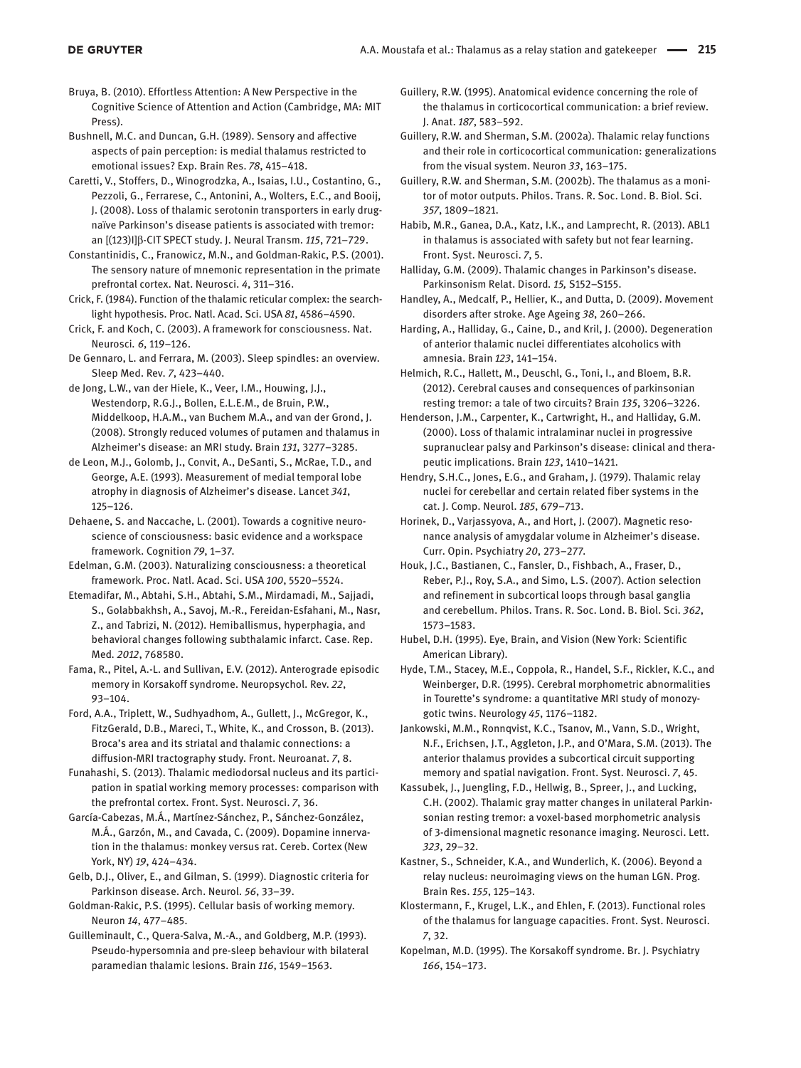Bruya, B. (2010). Effortless Attention: A New Perspective in the Cognitive Science of Attention and Action (Cambridge, MA: MIT Press).

Bushnell, M.C. and Duncan, G.H. (1989). Sensory and affective aspects of pain perception: is medial thalamus restricted to emotional issues? Exp. Brain Res. *78*, 415–418.

Caretti, V., Stoffers, D., Winogrodzka, A., Isaias, I.U., Costantino, G., Pezzoli, G., Ferrarese, C., Antonini, A., Wolters, E.C., and Booij, J. (2008). Loss of thalamic serotonin transporters in early drugnaïve Parkinson's disease patients is associated with tremor: an [(123)I]β-CIT SPECT study. J. Neural Transm. *115*, 721–729.

Constantinidis, C., Franowicz, M.N., and Goldman-Rakic, P.S. (2001). The sensory nature of mnemonic representation in the primate prefrontal cortex. Nat. Neurosci. *4*, 311–316.

Crick, F. (1984). Function of the thalamic reticular complex: the searchlight hypothesis. Proc. Natl. Acad. Sci. USA *81*, 4586–4590.

Crick, F. and Koch, C. (2003). A framework for consciousness. Nat. Neurosci*. 6*, 119–126.

De Gennaro, L. and Ferrara, M. (2003). Sleep spindles: an overview. Sleep Med. Rev*. 7*, 423–440.

de Jong, L.W., van der Hiele, K., Veer, I.M., Houwing, J.J., Westendorp, R.G.J., Bollen, E.L.E.M., de Bruin, P.W., Middelkoop, H.A.M., van Buchem M.A., and van der Grond, J. (2008). Strongly reduced volumes of putamen and thalamus in Alzheimer's disease: an MRI study. Brain *131*, 3277–3285.

de Leon, M.J., Golomb, J., Convit, A., DeSanti, S., McRae, T.D., and George, A.E. (1993). Measurement of medial temporal lobe atrophy in diagnosis of Alzheimer's disease. Lancet *341*, 125–126.

Dehaene, S. and Naccache, L. (2001). Towards a cognitive neuroscience of consciousness: basic evidence and a workspace framework. Cognition *79*, 1–37.

Edelman, G.M. (2003). Naturalizing consciousness: a theoretical framework. Proc. Natl. Acad. Sci. USA *100*, 5520–5524.

Etemadifar, M., Abtahi, S.H., Abtahi, S.M., Mirdamadi, M., Sajjadi, S., Golabbakhsh, A., Savoj, M.-R., Fereidan-Esfahani, M., Nasr, Z., and Tabrizi, N. (2012). Hemiballismus, hyperphagia, and behavioral changes following subthalamic infarct. Case. Rep. Med*. 2012*, 768580.

Fama, R., Pitel, A.-L. and Sullivan, E.V. (2012). Anterograde episodic memory in Korsakoff syndrome. Neuropsychol. Rev. *22*, 93–104.

Ford, A.A., Triplett, W., Sudhyadhom, A., Gullett, J., McGregor, K., FitzGerald, D.B., Mareci, T., White, K., and Crosson, B. (2013). Broca's area and its striatal and thalamic connections: a diffusion-MRI tractography study. Front. Neuroanat. *7*, 8.

Funahashi, S. (2013). Thalamic mediodorsal nucleus and its participation in spatial working memory processes: comparison with the prefrontal cortex. Front. Syst. Neurosci. *7*, 36.

García-Cabezas, M.Á., Martínez-Sánchez, P., Sánchez-González, M.Á., Garzón, M., and Cavada, C. (2009). Dopamine innervation in the thalamus: monkey versus rat. Cereb. Cortex (New York, NY) *19*, 424–434.

Gelb, D.J., Oliver, E., and Gilman, S. (1999). Diagnostic criteria for Parkinson disease. Arch. Neurol. *56*, 33–39.

Goldman-Rakic, P.S. (1995). Cellular basis of working memory. Neuron *14*, 477–485.

Guilleminault, C., Quera-Salva, M.-A., and Goldberg, M.P. (1993). Pseudo-hypersomnia and pre-sleep behaviour with bilateral paramedian thalamic lesions. Brain *116*, 1549–1563.

Guillery, R.W. (1995). Anatomical evidence concerning the role of the thalamus in corticocortical communication: a brief review. J. Anat. *187*, 583–592.

Guillery, R.W. and Sherman, S.M. (2002a). Thalamic relay functions and their role in corticocortical communication: generalizations from the visual system. Neuron *33*, 163–175.

Guillery, R.W. and Sherman, S.M. (2002b). The thalamus as a monitor of motor outputs. Philos. Trans. R. Soc. Lond. B. Biol. Sci. *357*, 1809–1821.

Habib, M.R., Ganea, D.A., Katz, I.K., and Lamprecht, R. (2013). ABL1 in thalamus is associated with safety but not fear learning. Front. Syst. Neurosci. *7*, 5.

Halliday, G.M. (2009). Thalamic changes in Parkinson's disease. Parkinsonism Relat. Disord*. 15,* S152–S155.

- Handley, A., Medcalf, P., Hellier, K., and Dutta, D. (2009). Movement disorders after stroke. Age Ageing *38*, 260–266.
- Harding, A., Halliday, G., Caine, D., and Kril, J. (2000). Degeneration of anterior thalamic nuclei differentiates alcoholics with amnesia. Brain *123*, 141–154.

Helmich, R.C., Hallett, M., Deuschl, G., Toni, I., and Bloem, B.R. (2012). Cerebral causes and consequences of parkinsonian resting tremor: a tale of two circuits? Brain *135*, 3206–3226.

Henderson, J.M., Carpenter, K., Cartwright, H., and Halliday, G.M. (2000). Loss of thalamic intralaminar nuclei in progressive supranuclear palsy and Parkinson's disease: clinical and therapeutic implications. Brain *123*, 1410–1421.

Hendry, S.H.C., Jones, E.G., and Graham, J. (1979). Thalamic relay nuclei for cerebellar and certain related fiber systems in the cat. J. Comp. Neurol. *185*, 679–713.

Horinek, D., Varjassyova, A., and Hort, J. (2007). Magnetic resonance analysis of amygdalar volume in Alzheimer's disease. Curr. Opin. Psychiatry *20*, 273–277.

Houk, J.C., Bastianen, C., Fansler, D., Fishbach, A., Fraser, D., Reber, P.J., Roy, S.A., and Simo, L.S. (2007). Action selection and refinement in subcortical loops through basal ganglia and cerebellum. Philos. Trans. R. Soc. Lond. B. Biol. Sci. *362*, 1573–1583.

Hubel, D.H. (1995). Eye, Brain, and Vision (New York: Scientific American Library).

Hyde, T.M., Stacey, M.E., Coppola, R., Handel, S.F., Rickler, K.C., and Weinberger, D.R. (1995). Cerebral morphometric abnormalities in Tourette's syndrome: a quantitative MRI study of monozygotic twins. Neurology *45*, 1176–1182.

Jankowski, M.M., Ronnqvist, K.C., Tsanov, M., Vann, S.D., Wright, N.F., Erichsen, J.T., Aggleton, J.P., and O'Mara, S.M. (2013). The anterior thalamus provides a subcortical circuit supporting memory and spatial navigation. Front. Syst. Neurosci. *7*, 45.

Kassubek, J., Juengling, F.D., Hellwig, B., Spreer, J., and Lucking, C.H. (2002). Thalamic gray matter changes in unilateral Parkinsonian resting tremor: a voxel-based morphometric analysis of 3-dimensional magnetic resonance imaging. Neurosci. Lett. *323*, 29–32.

Kastner, S., Schneider, K.A., and Wunderlich, K. (2006). Beyond a relay nucleus: neuroimaging views on the human LGN. Prog. Brain Res. *155*, 125–143.

Klostermann, F., Krugel, L.K., and Ehlen, F. (2013). Functional roles of the thalamus for language capacities. Front. Syst. Neurosci. *7*, 32.

Kopelman, M.D. (1995). The Korsakoff syndrome. Br. J. Psychiatry *166*, 154–173.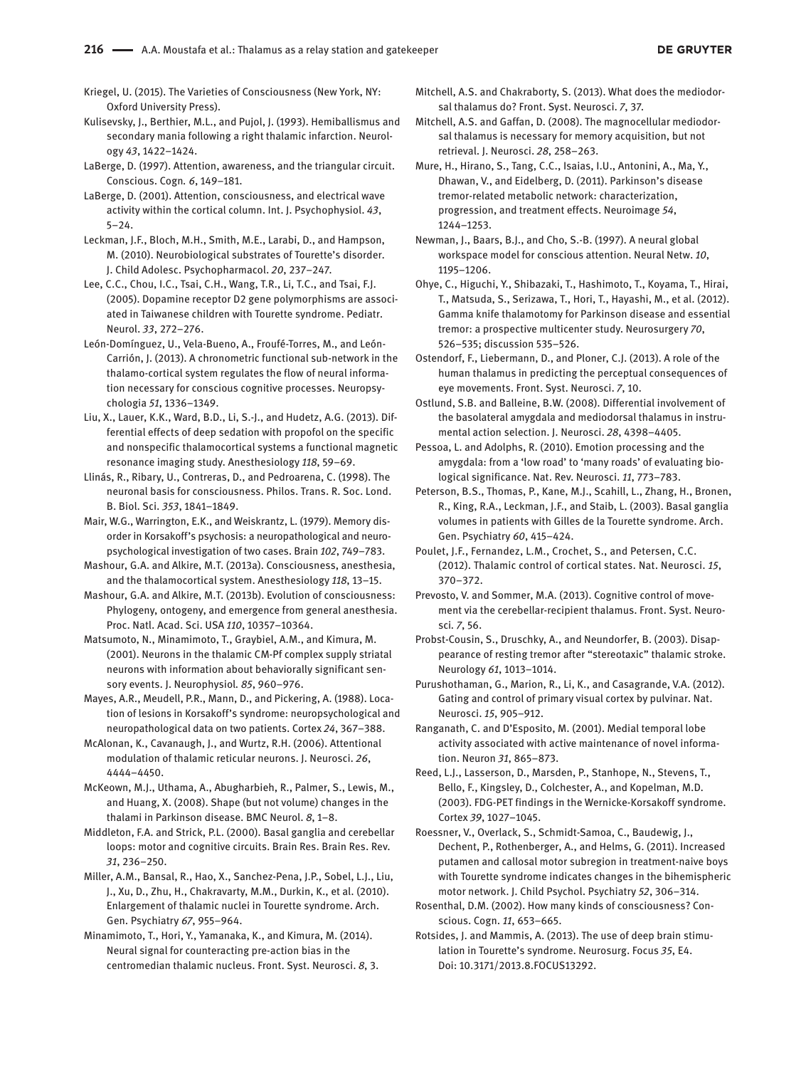**DE GRUYTER** 

Kriegel, U. (2015). The Varieties of Consciousness (New York, NY: Oxford University Press).

Kulisevsky, J., Berthier, M.L., and Pujol, J. (1993). Hemiballismus and secondary mania following a right thalamic infarction. Neurology *43*, 1422–1424.

LaBerge, D. (1997). Attention, awareness, and the triangular circuit. Conscious. Cogn*. 6*, 149–181.

LaBerge, D. (2001). Attention, consciousness, and electrical wave activity within the cortical column. Int. J. Psychophysiol. *43*, 5–24.

Leckman, J.F., Bloch, M.H., Smith, M.E., Larabi, D., and Hampson, M. (2010). Neurobiological substrates of Tourette's disorder. J. Child Adolesc. Psychopharmacol. *20*, 237–247.

Lee, C.C., Chou, I.C., Tsai, C.H., Wang, T.R., Li, T.C., and Tsai, F.J. (2005). Dopamine receptor D2 gene polymorphisms are associated in Taiwanese children with Tourette syndrome. Pediatr. Neurol. *33*, 272–276.

León-Domínguez, U., Vela-Bueno, A., Froufé-Torres, M., and León-Carrión, J. (2013). A chronometric functional sub-network in the thalamo-cortical system regulates the flow of neural information necessary for conscious cognitive processes. Neuropsychologia *51*, 1336–1349.

Liu, X., Lauer, K.K., Ward, B.D., Li, S.-J., and Hudetz, A.G. (2013). Differential effects of deep sedation with propofol on the specific and nonspecific thalamocortical systems a functional magnetic resonance imaging study. Anesthesiology *118*, 59–69.

Llinás, R., Ribary, U., Contreras, D., and Pedroarena, C. (1998). The neuronal basis for consciousness. Philos. Trans. R. Soc. Lond. B. Biol. Sci. *353*, 1841–1849.

Mair, W.G., Warrington, E.K., and Weiskrantz, L. (1979). Memory disorder in Korsakoff's psychosis: a neuropathological and neuropsychological investigation of two cases. Brain *102*, 749–783.

Mashour, G.A. and Alkire, M.T. (2013a). Consciousness, anesthesia, and the thalamocortical system. Anesthesiology *118*, 13–15.

Mashour, G.A. and Alkire, M.T. (2013b). Evolution of consciousness: Phylogeny, ontogeny, and emergence from general anesthesia. Proc. Natl. Acad. Sci. USA *110*, 10357–10364.

Matsumoto, N., Minamimoto, T., Graybiel, A.M., and Kimura, M. (2001). Neurons in the thalamic CM-Pf complex supply striatal neurons with information about behaviorally significant sensory events. J. Neurophysiol*. 85*, 960–976.

Mayes, A.R., Meudell, P.R., Mann, D., and Pickering, A. (1988). Location of lesions in Korsakoff's syndrome: neuropsychological and neuropathological data on two patients. Cortex *24*, 367–388.

McAlonan, K., Cavanaugh, J., and Wurtz, R.H. (2006). Attentional modulation of thalamic reticular neurons. J. Neurosci. *26*, 4444–4450.

McKeown, M.J., Uthama, A., Abugharbieh, R., Palmer, S., Lewis, M., and Huang, X. (2008). Shape (but not volume) changes in the thalami in Parkinson disease. BMC Neurol. *8*, 1–8.

Middleton, F.A. and Strick, P.L. (2000). Basal ganglia and cerebellar loops: motor and cognitive circuits. Brain Res. Brain Res. Rev. *31*, 236–250.

Miller, A.M., Bansal, R., Hao, X., Sanchez-Pena, J.P., Sobel, L.J., Liu, J., Xu, D., Zhu, H., Chakravarty, M.M., Durkin, K., et al. (2010). Enlargement of thalamic nuclei in Tourette syndrome. Arch. Gen. Psychiatry *67*, 955–964.

Minamimoto, T., Hori, Y., Yamanaka, K., and Kimura, M. (2014). Neural signal for counteracting pre-action bias in the centromedian thalamic nucleus. Front. Syst. Neurosci. *8*, 3. Mitchell, A.S. and Chakraborty, S. (2013). What does the mediodorsal thalamus do? Front. Syst. Neurosci. *7*, 37.

Mitchell, A.S. and Gaffan, D. (2008). The magnocellular mediodorsal thalamus is necessary for memory acquisition, but not retrieval. J. Neurosci. *28*, 258–263.

Mure, H., Hirano, S., Tang, C.C., Isaias, I.U., Antonini, A., Ma, Y., Dhawan, V., and Eidelberg, D. (2011). Parkinson's disease tremor-related metabolic network: characterization, progression, and treatment effects. Neuroimage *54*, 1244–1253.

Newman, J., Baars, B.J., and Cho, S.-B. (1997). A neural global workspace model for conscious attention. Neural Netw. *10*, 1195–1206.

Ohye, C., Higuchi, Y., Shibazaki, T., Hashimoto, T., Koyama, T., Hirai, T., Matsuda, S., Serizawa, T., Hori, T., Hayashi, M., et al. (2012). Gamma knife thalamotomy for Parkinson disease and essential tremor: a prospective multicenter study. Neurosurgery *70*, 526–535; discussion 535–526.

Ostendorf, F., Liebermann, D., and Ploner, C.J. (2013). A role of the human thalamus in predicting the perceptual consequences of eye movements. Front. Syst. Neurosci. *7*, 10.

Ostlund, S.B. and Balleine, B.W. (2008). Differential involvement of the basolateral amygdala and mediodorsal thalamus in instrumental action selection. J. Neurosci. *28*, 4398–4405.

Pessoa, L. and Adolphs, R. (2010). Emotion processing and the amygdala: from a 'low road' to 'many roads' of evaluating biological significance. Nat. Rev. Neurosci. *11*, 773–783.

Peterson, B.S., Thomas, P., Kane, M.J., Scahill, L., Zhang, H., Bronen, R., King, R.A., Leckman, J.F., and Staib, L. (2003). Basal ganglia volumes in patients with Gilles de la Tourette syndrome. Arch. Gen. Psychiatry *60*, 415–424.

Poulet, J.F., Fernandez, L.M., Crochet, S., and Petersen, C.C. (2012). Thalamic control of cortical states. Nat. Neurosci. *15*, 370–372.

Prevosto, V. and Sommer, M.A. (2013). Cognitive control of movement via the cerebellar-recipient thalamus. Front. Syst. Neurosci*. 7*, 56.

Probst-Cousin, S., Druschky, A., and Neundorfer, B. (2003). Disappearance of resting tremor after "stereotaxic" thalamic stroke. Neurology *61*, 1013–1014.

Purushothaman, G., Marion, R., Li, K., and Casagrande, V.A. (2012). Gating and control of primary visual cortex by pulvinar. Nat. Neurosci. *15*, 905–912.

Ranganath, C. and D'Esposito, M. (2001). Medial temporal lobe activity associated with active maintenance of novel information. Neuron *31*, 865–873.

Reed, L.J., Lasserson, D., Marsden, P., Stanhope, N., Stevens, T., Bello, F., Kingsley, D., Colchester, A., and Kopelman, M.D. (2003). FDG-PET findings in the Wernicke-Korsakoff syndrome. Cortex *39*, 1027–1045.

Roessner, V., Overlack, S., Schmidt-Samoa, C., Baudewig, J., Dechent, P., Rothenberger, A., and Helms, G. (2011). Increased putamen and callosal motor subregion in treatment-naive boys with Tourette syndrome indicates changes in the bihemispheric motor network. J. Child Psychol. Psychiatry *52*, 306–314.

Rosenthal, D.M. (2002). How many kinds of consciousness? Conscious. Cogn. *11*, 653–665.

Rotsides, J. and Mammis, A. (2013). The use of deep brain stimulation in Tourette's syndrome. Neurosurg. Focus *35*, E4. Doi: 10.3171/2013.8.FOCUS13292.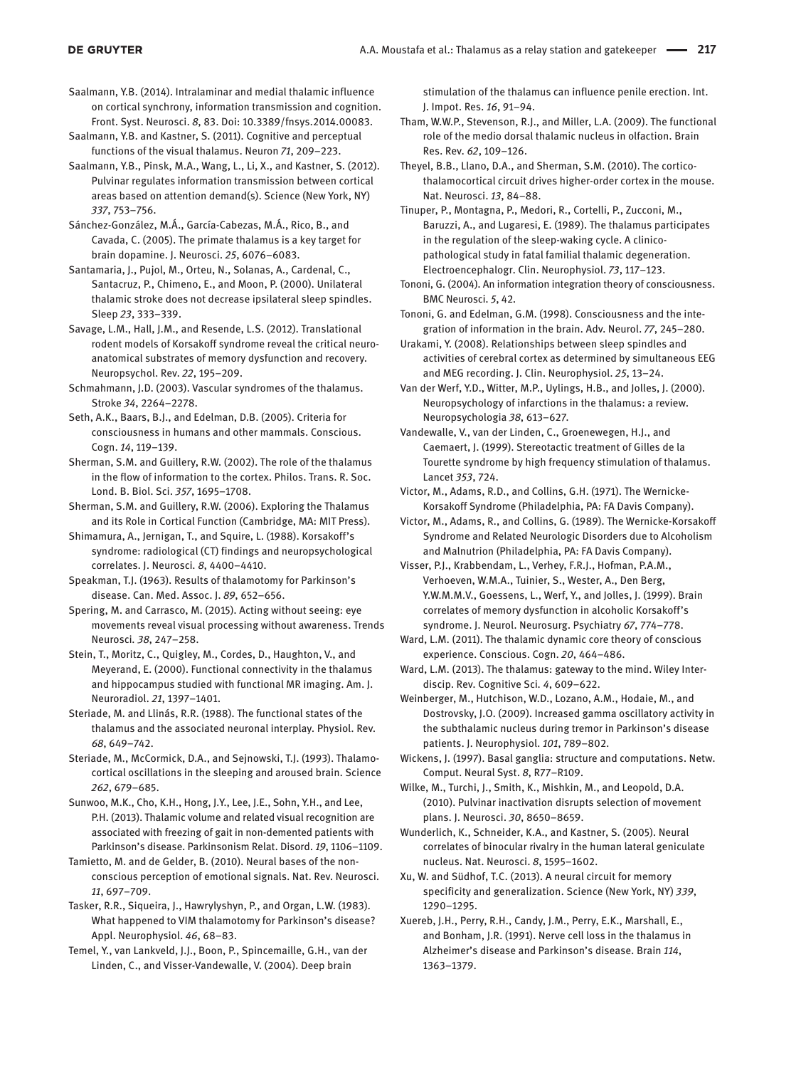Saalmann, Y.B. (2014). Intralaminar and medial thalamic influence on cortical synchrony, information transmission and cognition. Front. Syst. Neurosci. *8*, 83. Doi: 10.3389/fnsys.2014.00083.

Saalmann, Y.B. and Kastner, S. (2011). Cognitive and perceptual functions of the visual thalamus. Neuron *71*, 209–223.

Saalmann, Y.B., Pinsk, M.A., Wang, L., Li, X., and Kastner, S. (2012). Pulvinar regulates information transmission between cortical areas based on attention demand(s). Science (New York, NY) *337*, 753–756.

Sánchez-González, M.Á., García-Cabezas, M.Á., Rico, B., and Cavada, C. (2005). The primate thalamus is a key target for brain dopamine. J. Neurosci. *25*, 6076–6083.

Santamaria, J., Pujol, M., Orteu, N., Solanas, A., Cardenal, C., Santacruz, P., Chimeno, E., and Moon, P. (2000). Unilateral thalamic stroke does not decrease ipsilateral sleep spindles. Sleep *23*, 333–339.

Savage, L.M., Hall, J.M., and Resende, L.S. (2012). Translational rodent models of Korsakoff syndrome reveal the critical neuroanatomical substrates of memory dysfunction and recovery. Neuropsychol. Rev. *22*, 195–209.

Schmahmann, J.D. (2003). Vascular syndromes of the thalamus. Stroke *34*, 2264–2278.

Seth, A.K., Baars, B.J., and Edelman, D.B. (2005). Criteria for consciousness in humans and other mammals. Conscious. Cogn. *14*, 119–139.

Sherman, S.M. and Guillery, R.W. (2002). The role of the thalamus in the flow of information to the cortex. Philos. Trans. R. Soc. Lond. B. Biol. Sci. *357*, 1695–1708.

Sherman, S.M. and Guillery, R.W. (2006). Exploring the Thalamus and its Role in Cortical Function (Cambridge, MA: MIT Press).

Shimamura, A., Jernigan, T., and Squire, L. (1988). Korsakoff's syndrome: radiological (CT) findings and neuropsychological correlates. J. Neurosci*. 8*, 4400–4410.

Speakman, T.J. (1963). Results of thalamotomy for Parkinson's disease. Can. Med. Assoc. J. *89*, 652–656.

Spering, M. and Carrasco, M. (2015). Acting without seeing: eye movements reveal visual processing without awareness. Trends Neurosci*. 38*, 247–258.

Stein, T., Moritz, C., Quigley, M., Cordes, D., Haughton, V., and Meyerand, E. (2000). Functional connectivity in the thalamus and hippocampus studied with functional MR imaging. Am. J. Neuroradiol. *21*, 1397–1401.

Steriade, M. and Llinás, R.R. (1988). The functional states of the thalamus and the associated neuronal interplay. Physiol. Rev. *68*, 649–742.

Steriade, M., McCormick, D.A., and Sejnowski, T.J. (1993). Thalamocortical oscillations in the sleeping and aroused brain. Science *262*, 679–685.

Sunwoo, M.K., Cho, K.H., Hong, J.Y., Lee, J.E., Sohn, Y.H., and Lee, P.H. (2013). Thalamic volume and related visual recognition are associated with freezing of gait in non-demented patients with Parkinson's disease. Parkinsonism Relat. Disord. *19*, 1106–1109.

Tamietto, M. and de Gelder, B. (2010). Neural bases of the nonconscious perception of emotional signals. Nat. Rev. Neurosci. *11*, 697–709.

Tasker, R.R., Siqueira, J., Hawrylyshyn, P., and Organ, L.W. (1983). What happened to VIM thalamotomy for Parkinson's disease? Appl. Neurophysiol. *46*, 68–83.

Temel, Y., van Lankveld, J.J., Boon, P., Spincemaille, G.H., van der Linden, C., and Visser-Vandewalle, V. (2004). Deep brain

stimulation of the thalamus can influence penile erection. Int. J. Impot. Res. *16*, 91–94.

Tham, W.W.P., Stevenson, R.J., and Miller, L.A. (2009). The functional role of the medio dorsal thalamic nucleus in olfaction. Brain Res. Rev. *62*, 109–126.

Theyel, B.B., Llano, D.A., and Sherman, S.M. (2010). The corticothalamocortical circuit drives higher-order cortex in the mouse. Nat. Neurosci. *13*, 84–88.

Tinuper, P., Montagna, P., Medori, R., Cortelli, P., Zucconi, M., Baruzzi, A., and Lugaresi, E. (1989). The thalamus participates in the regulation of the sleep-waking cycle. A clinicopathological study in fatal familial thalamic degeneration. Electroencephalogr. Clin. Neurophysiol. *73*, 117–123.

Tononi, G. (2004). An information integration theory of consciousness. BMC Neurosci. *5*, 42.

Tononi, G. and Edelman, G.M. (1998). Consciousness and the integration of information in the brain. Adv. Neurol. *77*, 245–280.

Urakami, Y. (2008). Relationships between sleep spindles and activities of cerebral cortex as determined by simultaneous EEG and MEG recording. J. Clin. Neurophysiol. *25*, 13–24.

Van der Werf, Y.D., Witter, M.P., Uylings, H.B., and Jolles, J. (2000). Neuropsychology of infarctions in the thalamus: a review. Neuropsychologia *38*, 613–627.

Vandewalle, V., van der Linden, C., Groenewegen, H.J., and Caemaert, J. (1999). Stereotactic treatment of Gilles de la Tourette syndrome by high frequency stimulation of thalamus. Lancet *353*, 724.

Victor, M., Adams, R.D., and Collins, G.H. (1971). The Wernicke-Korsakoff Syndrome (Philadelphia, PA: FA Davis Company).

Victor, M., Adams, R., and Collins, G. (1989). The Wernicke-Korsakoff Syndrome and Related Neurologic Disorders due to Alcoholism and Malnutrion (Philadelphia, PA: FA Davis Company).

Visser, P.J., Krabbendam, L., Verhey, F.R.J., Hofman, P.A.M., Verhoeven, W.M.A., Tuinier, S., Wester, A., Den Berg, Y.W.M.M.V., Goessens, L., Werf, Y., and Jolles, J. (1999). Brain correlates of memory dysfunction in alcoholic Korsakoff's syndrome. J. Neurol. Neurosurg. Psychiatry *67*, 774–778.

Ward, L.M. (2011). The thalamic dynamic core theory of conscious experience. Conscious. Cogn. *20*, 464–486.

Ward, L.M. (2013). The thalamus: gateway to the mind. Wiley Interdiscip. Rev. Cognitive Sci*. 4*, 609–622.

Weinberger, M., Hutchison, W.D., Lozano, A.M., Hodaie, M., and Dostrovsky, J.O. (2009). Increased gamma oscillatory activity in the subthalamic nucleus during tremor in Parkinson's disease patients. J. Neurophysiol. *101*, 789–802.

Wickens, J. (1997). Basal ganglia: structure and computations. Netw. Comput. Neural Syst. *8*, R77–R109.

Wilke, M., Turchi, J., Smith, K., Mishkin, M., and Leopold, D.A. (2010). Pulvinar inactivation disrupts selection of movement plans. J. Neurosci. *30*, 8650–8659.

Wunderlich, K., Schneider, K.A., and Kastner, S. (2005). Neural correlates of binocular rivalry in the human lateral geniculate nucleus. Nat. Neurosci. *8*, 1595–1602.

Xu, W. and Südhof, T.C. (2013). A neural circuit for memory specificity and generalization. Science (New York, NY) *339*, 1290–1295.

Xuereb, J.H., Perry, R.H., Candy, J.M., Perry, E.K., Marshall, E., and Bonham, J.R. (1991). Nerve cell loss in the thalamus in Alzheimer's disease and Parkinson's disease. Brain *114*, 1363–1379.